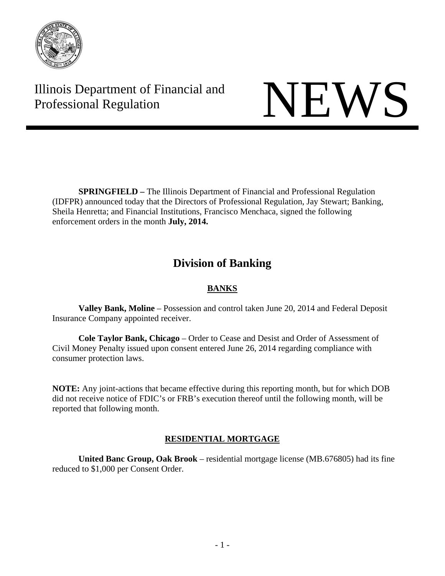

Illinois Department of Financial and Illinois Department of Financial and<br>Professional Regulation

 **SPRINGFIELD –** The Illinois Department of Financial and Professional Regulation (IDFPR) announced today that the Directors of Professional Regulation, Jay Stewart; Banking, Sheila Henretta; and Financial Institutions, Francisco Menchaca, signed the following enforcement orders in the month **July, 2014.** 

# **Division of Banking**

# **BANKS**

 **Valley Bank, Moline** – Possession and control taken June 20, 2014 and Federal Deposit Insurance Company appointed receiver.

 **Cole Taylor Bank, Chicago** – Order to Cease and Desist and Order of Assessment of Civil Money Penalty issued upon consent entered June 26, 2014 regarding compliance with consumer protection laws.

**NOTE:** Any joint-actions that became effective during this reporting month, but for which DOB did not receive notice of FDIC's or FRB's execution thereof until the following month, will be reported that following month.

# **RESIDENTIAL MORTGAGE**

 **United Banc Group, Oak Brook** – residential mortgage license (MB.676805) had its fine reduced to \$1,000 per Consent Order.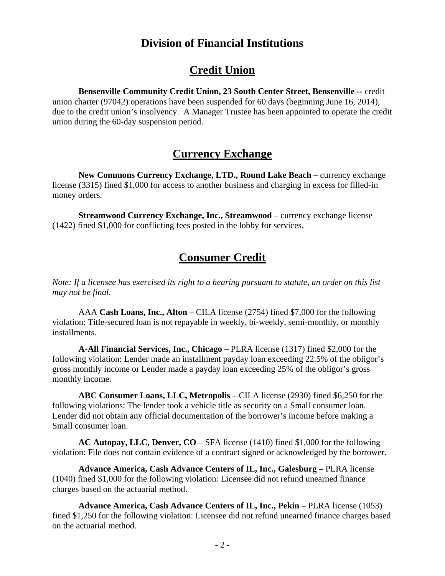# **Division of Financial Institutions**

# **Credit Union**

**Bensenville Community Credit Union, 23 South Center Street, Bensenville --** credit union charter (97042) operations have been suspended for 60 days (beginning June 16, 2014), due to the credit union's insolvency. A Manager Trustee has been appointed to operate the credit

union during the 60-day suspension period.

# **Currency Exchange**

**New Commons Currency Exchange, LTD., Round Lake Beach – currency exchange** license (3315) fined \$1,000 for access to another business and charging in excess for filled-in money orders.

**Streamwood Currency Exchange, Inc., Streamwood** – currency exchange license (1422) fined \$1,000 for conflicting fees posted in the lobby for services.

# **Consumer Credit**

*Note: If a licensee has exercised its right to a hearing pursuant to statute, an order on this list may not be final.*

AAA **Cash Loans, Inc., Alton** – CILA license (2754) fined \$7,000 for the following violation: Title-secured loan is not repayable in weekly, bi-weekly, semi-monthly, or monthly installments.

**A-All Financial Services, Inc., Chicago –** PLRA license (1317) fined \$2,000 for the following violation: Lender made an installment payday loan exceeding 22.5% of the obligor's gross monthly income or Lender made a payday loan exceeding 25% of the obligor's gross monthly income.

**ABC Consumer Loans, LLC, Metropolis** – CILA license (2930) fined \$6,250 for the following violations: The lender took a vehicle title as security on a Small consumer loan. Lender did not obtain any official documentation of the borrower's income before making a Small consumer loan.

**AC Autopay, LLC, Denver, CO** – SFA license (1410) fined \$1,000 for the following violation: File does not contain evidence of a contract signed or acknowledged by the borrower.

**Advance America, Cash Advance Centers of IL, Inc., Galesburg –** PLRA license (1040) fined \$1,000 for the following violation: Licensee did not refund unearned finance charges based on the actuarial method.

Advance America, Cash Advance Centers of IL, Inc., Pekin – PLRA license (1053) fined \$1,250 for the following violation: Licensee did not refund unearned finance charges based on the actuarial method.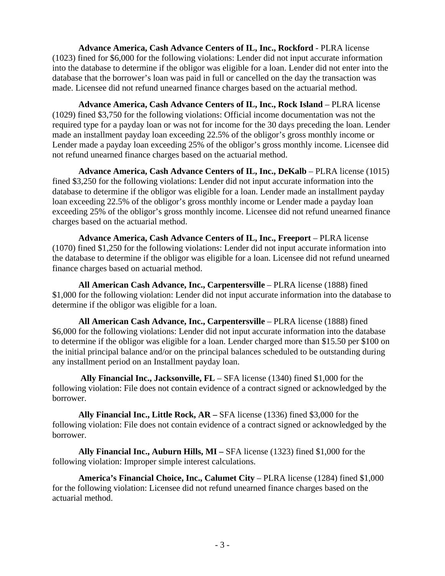**Advance America, Cash Advance Centers of IL, Inc., Rockford** - PLRA license (1023) fined for \$6,000 for the following violations: Lender did not input accurate information into the database to determine if the obligor was eligible for a loan. Lender did not enter into the database that the borrower's loan was paid in full or cancelled on the day the transaction was made. Licensee did not refund unearned finance charges based on the actuarial method.

**Advance America, Cash Advance Centers of IL, Inc., Rock Island** – PLRA license (1029) fined \$3,750 for the following violations: Official income documentation was not the required type for a payday loan or was not for income for the 30 days preceding the loan. Lender made an installment payday loan exceeding 22.5% of the obligor's gross monthly income or Lender made a payday loan exceeding 25% of the obligor's gross monthly income. Licensee did not refund unearned finance charges based on the actuarial method.

Advance America, Cash Advance Centers of IL, Inc., DeKalb – PLRA license (1015) fined \$3,250 for the following violations: Lender did not input accurate information into the database to determine if the obligor was eligible for a loan. Lender made an installment payday loan exceeding 22.5% of the obligor's gross monthly income or Lender made a payday loan exceeding 25% of the obligor's gross monthly income. Licensee did not refund unearned finance charges based on the actuarial method.

**Advance America, Cash Advance Centers of IL, Inc., Freeport** – PLRA license (1070) fined \$1,250 for the following violations: Lender did not input accurate information into the database to determine if the obligor was eligible for a loan. Licensee did not refund unearned finance charges based on actuarial method.

**All American Cash Advance, Inc., Carpentersville** – PLRA license (1888) fined \$1,000 for the following violation: Lender did not input accurate information into the database to determine if the obligor was eligible for a loan.

**All American Cash Advance, Inc., Carpentersville** – PLRA license (1888) fined \$6,000 for the following violations: Lender did not input accurate information into the database to determine if the obligor was eligible for a loan. Lender charged more than \$15.50 per \$100 on the initial principal balance and/or on the principal balances scheduled to be outstanding during any installment period on an Installment payday loan.

 **Ally Financial Inc., Jacksonville, FL** – SFA license (1340) fined \$1,000 for the following violation: File does not contain evidence of a contract signed or acknowledged by the borrower.

**Ally Financial Inc., Little Rock, AR –** SFA license (1336) fined \$3,000 for the following violation: File does not contain evidence of a contract signed or acknowledged by the borrower.

**Ally Financial Inc., Auburn Hills, MI –** SFA license (1323) fined \$1,000 for the following violation: Improper simple interest calculations.

**America's Financial Choice, Inc., Calumet City** – PLRA license (1284) fined \$1,000 for the following violation: Licensee did not refund unearned finance charges based on the actuarial method.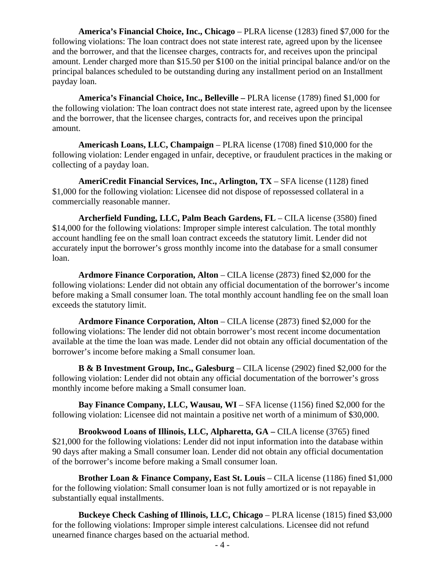**America's Financial Choice, Inc., Chicago** – PLRA license (1283) fined \$7,000 for the following violations: The loan contract does not state interest rate, agreed upon by the licensee and the borrower, and that the licensee charges, contracts for, and receives upon the principal amount. Lender charged more than \$15.50 per \$100 on the initial principal balance and/or on the principal balances scheduled to be outstanding during any installment period on an Installment payday loan.

**America's Financial Choice, Inc., Belleville –** PLRA license (1789) fined \$1,000 for the following violation: The loan contract does not state interest rate, agreed upon by the licensee and the borrower, that the licensee charges, contracts for, and receives upon the principal amount.

**Americash Loans, LLC, Champaign** – PLRA license (1708) fined \$10,000 for the following violation: Lender engaged in unfair, deceptive, or fraudulent practices in the making or collecting of a payday loan.

**AmeriCredit Financial Services, Inc., Arlington, TX** – SFA license (1128) fined \$1,000 for the following violation: Licensee did not dispose of repossessed collateral in a commercially reasonable manner.

**Archerfield Funding, LLC, Palm Beach Gardens, FL** – CILA license (3580) fined \$14,000 for the following violations: Improper simple interest calculation. The total monthly account handling fee on the small loan contract exceeds the statutory limit. Lender did not accurately input the borrower's gross monthly income into the database for a small consumer loan.

**Ardmore Finance Corporation, Alton** – CILA license (2873) fined \$2,000 for the following violations: Lender did not obtain any official documentation of the borrower's income before making a Small consumer loan. The total monthly account handling fee on the small loan exceeds the statutory limit.

**Ardmore Finance Corporation, Alton** – CILA license (2873) fined \$2,000 for the following violations: The lender did not obtain borrower's most recent income documentation available at the time the loan was made. Lender did not obtain any official documentation of the borrower's income before making a Small consumer loan.

**B & B Investment Group, Inc., Galesburg** – CILA license (2902) fined \$2,000 for the following violation: Lender did not obtain any official documentation of the borrower's gross monthly income before making a Small consumer loan.

**Bay Finance Company, LLC, Wausau, WI** – SFA license (1156) fined \$2,000 for the following violation: Licensee did not maintain a positive net worth of a minimum of \$30,000.

**Brookwood Loans of Illinois, LLC, Alpharetta, GA –** CILA license (3765) fined \$21,000 for the following violations: Lender did not input information into the database within 90 days after making a Small consumer loan. Lender did not obtain any official documentation of the borrower's income before making a Small consumer loan.

**Brother Loan & Finance Company, East St. Louis** – CILA license (1186) fined \$1,000 for the following violation: Small consumer loan is not fully amortized or is not repayable in substantially equal installments.

**Buckeye Check Cashing of Illinois, LLC, Chicago** – PLRA license (1815) fined \$3,000 for the following violations: Improper simple interest calculations. Licensee did not refund unearned finance charges based on the actuarial method.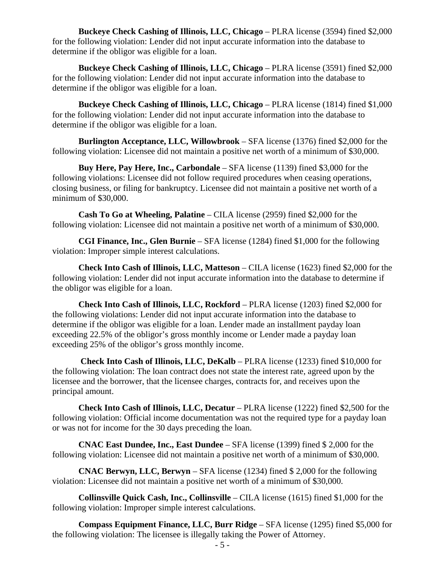**Buckeye Check Cashing of Illinois, LLC, Chicago** – PLRA license (3594) fined \$2,000 for the following violation: Lender did not input accurate information into the database to determine if the obligor was eligible for a loan.

**Buckeye Check Cashing of Illinois, LLC, Chicago** – PLRA license (3591) fined \$2,000 for the following violation: Lender did not input accurate information into the database to determine if the obligor was eligible for a loan.

**Buckeye Check Cashing of Illinois, LLC, Chicago** – PLRA license (1814) fined \$1,000 for the following violation: Lender did not input accurate information into the database to determine if the obligor was eligible for a loan.

**Burlington Acceptance, LLC, Willowbrook** – SFA license (1376) fined \$2,000 for the following violation: Licensee did not maintain a positive net worth of a minimum of \$30,000.

**Buy Here, Pay Here, Inc., Carbondale** – SFA license (1139) fined \$3,000 for the following violations: Licensee did not follow required procedures when ceasing operations, closing business, or filing for bankruptcy. Licensee did not maintain a positive net worth of a minimum of \$30,000.

**Cash To Go at Wheeling, Palatine** – CILA license (2959) fined \$2,000 for the following violation: Licensee did not maintain a positive net worth of a minimum of \$30,000.

**CGI Finance, Inc., Glen Burnie** – SFA license (1284) fined \$1,000 for the following violation: Improper simple interest calculations.

**Check Into Cash of Illinois, LLC, Matteson** – CILA license (1623) fined \$2,000 for the following violation: Lender did not input accurate information into the database to determine if the obligor was eligible for a loan.

**Check Into Cash of Illinois, LLC, Rockford** – PLRA license (1203) fined \$2,000 for the following violations: Lender did not input accurate information into the database to determine if the obligor was eligible for a loan. Lender made an installment payday loan exceeding 22.5% of the obligor's gross monthly income or Lender made a payday loan exceeding 25% of the obligor's gross monthly income.

**Check Into Cash of Illinois, LLC, DeKalb** – PLRA license (1233) fined \$10,000 for the following violation: The loan contract does not state the interest rate, agreed upon by the licensee and the borrower, that the licensee charges, contracts for, and receives upon the principal amount.

**Check Into Cash of Illinois, LLC, Decatur** – PLRA license (1222) fined \$2,500 for the following violation: Official income documentation was not the required type for a payday loan or was not for income for the 30 days preceding the loan.

**CNAC East Dundee, Inc., East Dundee** – SFA license (1399) fined \$ 2,000 for the following violation: Licensee did not maintain a positive net worth of a minimum of \$30,000.

**CNAC Berwyn, LLC, Berwyn** – SFA license (1234) fined \$ 2,000 for the following violation: Licensee did not maintain a positive net worth of a minimum of \$30,000.

**Collinsville Quick Cash, Inc., Collinsville** – CILA license (1615) fined \$1,000 for the following violation: Improper simple interest calculations.

**Compass Equipment Finance, LLC, Burr Ridge** – SFA license (1295) fined \$5,000 for the following violation: The licensee is illegally taking the Power of Attorney.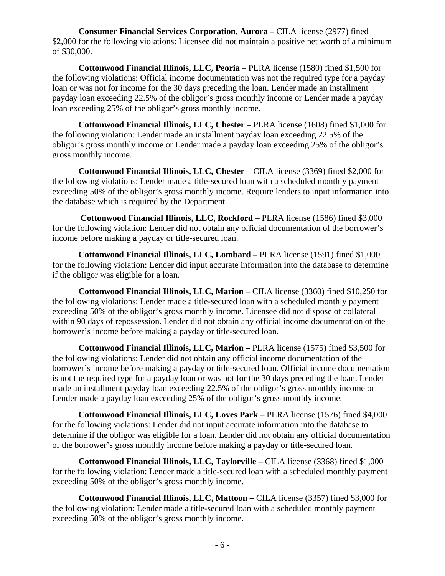**Consumer Financial Services Corporation, Aurora** – CILA license (2977) fined \$2,000 for the following violations: Licensee did not maintain a positive net worth of a minimum of \$30,000.

**Cottonwood Financial Illinois, LLC, Peoria** – PLRA license (1580) fined \$1,500 for the following violations: Official income documentation was not the required type for a payday loan or was not for income for the 30 days preceding the loan. Lender made an installment payday loan exceeding 22.5% of the obligor's gross monthly income or Lender made a payday loan exceeding 25% of the obligor's gross monthly income.

**Cottonwood Financial Illinois, LLC, Chester** – PLRA license (1608) fined \$1,000 for the following violation: Lender made an installment payday loan exceeding 22.5% of the obligor's gross monthly income or Lender made a payday loan exceeding 25% of the obligor's gross monthly income.

**Cottonwood Financial Illinois, LLC, Chester** – CILA license (3369) fined \$2,000 for the following violations: Lender made a title-secured loan with a scheduled monthly payment exceeding 50% of the obligor's gross monthly income. Require lenders to input information into the database which is required by the Department.

 **Cottonwood Financial Illinois, LLC, Rockford** – PLRA license (1586) fined \$3,000 for the following violation: Lender did not obtain any official documentation of the borrower's income before making a payday or title-secured loan.

**Cottonwood Financial Illinois, LLC, Lombard –** PLRA license (1591) fined \$1,000 for the following violation: Lender did input accurate information into the database to determine if the obligor was eligible for a loan.

**Cottonwood Financial Illinois, LLC, Marion** – CILA license (3360) fined \$10,250 for the following violations: Lender made a title-secured loan with a scheduled monthly payment exceeding 50% of the obligor's gross monthly income. Licensee did not dispose of collateral within 90 days of repossession. Lender did not obtain any official income documentation of the borrower's income before making a payday or title-secured loan.

**Cottonwood Financial Illinois, LLC, Marion –** PLRA license (1575) fined \$3,500 for the following violations: Lender did not obtain any official income documentation of the borrower's income before making a payday or title-secured loan. Official income documentation is not the required type for a payday loan or was not for the 30 days preceding the loan. Lender made an installment payday loan exceeding 22.5% of the obligor's gross monthly income or Lender made a payday loan exceeding 25% of the obligor's gross monthly income.

**Cottonwood Financial Illinois, LLC, Loves Park** – PLRA license (1576) fined \$4,000 for the following violations: Lender did not input accurate information into the database to determine if the obligor was eligible for a loan. Lender did not obtain any official documentation of the borrower's gross monthly income before making a payday or title-secured loan.

**Cottonwood Financial Illinois, LLC, Taylorville** – CILA license (3368) fined \$1,000 for the following violation: Lender made a title-secured loan with a scheduled monthly payment exceeding 50% of the obligor's gross monthly income.

**Cottonwood Financial Illinois, LLC, Mattoon –** CILA license (3357) fined \$3,000 for the following violation: Lender made a title-secured loan with a scheduled monthly payment exceeding 50% of the obligor's gross monthly income.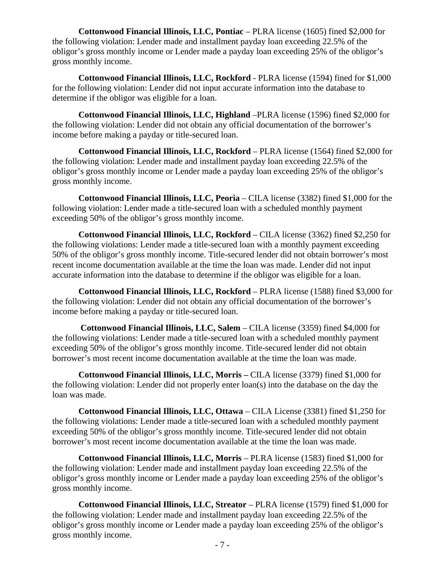**Cottonwood Financial Illinois, LLC, Pontiac – PLRA license (1605) fined \$2,000 for** the following violation: Lender made and installment payday loan exceeding 22.5% of the obligor's gross monthly income or Lender made a payday loan exceeding 25% of the obligor's gross monthly income.

**Cottonwood Financial Illinois, LLC, Rockford** - PLRA license (1594) fined for \$1,000 for the following violation: Lender did not input accurate information into the database to determine if the obligor was eligible for a loan.

**Cottonwood Financial Illinois, LLC, Highland** –PLRA license (1596) fined \$2,000 for the following violation: Lender did not obtain any official documentation of the borrower's income before making a payday or title-secured loan.

**Cottonwood Financial Illinois, LLC, Rockford** – PLRA license (1564) fined \$2,000 for the following violation: Lender made and installment payday loan exceeding 22.5% of the obligor's gross monthly income or Lender made a payday loan exceeding 25% of the obligor's gross monthly income.

**Cottonwood Financial Illinois, LLC, Peoria** – CILA license (3382) fined \$1,000 for the following violation: Lender made a title-secured loan with a scheduled monthly payment exceeding 50% of the obligor's gross monthly income.

**Cottonwood Financial Illinois, LLC, Rockford** – CILA license (3362) fined \$2,250 for the following violations: Lender made a title-secured loan with a monthly payment exceeding 50% of the obligor's gross monthly income. Title-secured lender did not obtain borrower's most recent income documentation available at the time the loan was made. Lender did not input accurate information into the database to determine if the obligor was eligible for a loan.

**Cottonwood Financial Illinois, LLC, Rockford** – PLRA license (1588) fined \$3,000 for the following violation: Lender did not obtain any official documentation of the borrower's income before making a payday or title-secured loan.

 **Cottonwood Financial Illinois, LLC, Salem** – CILA license (3359) fined \$4,000 for the following violations: Lender made a title-secured loan with a scheduled monthly payment exceeding 50% of the obligor's gross monthly income. Title-secured lender did not obtain borrower's most recent income documentation available at the time the loan was made.

**Cottonwood Financial Illinois, LLC, Morris –** CILA license (3379) fined \$1,000 for the following violation: Lender did not properly enter loan(s) into the database on the day the loan was made.

**Cottonwood Financial Illinois, LLC, Ottawa** – CILA License (3381) fined \$1,250 for the following violations: Lender made a title-secured loan with a scheduled monthly payment exceeding 50% of the obligor's gross monthly income. Title-secured lender did not obtain borrower's most recent income documentation available at the time the loan was made.

**Cottonwood Financial Illinois, LLC, Morris** – PLRA license (1583) fined \$1,000 for the following violation: Lender made and installment payday loan exceeding 22.5% of the obligor's gross monthly income or Lender made a payday loan exceeding 25% of the obligor's gross monthly income.

**Cottonwood Financial Illinois, LLC, Streator** – PLRA license (1579) fined \$1,000 for the following violation: Lender made and installment payday loan exceeding 22.5% of the obligor's gross monthly income or Lender made a payday loan exceeding 25% of the obligor's gross monthly income.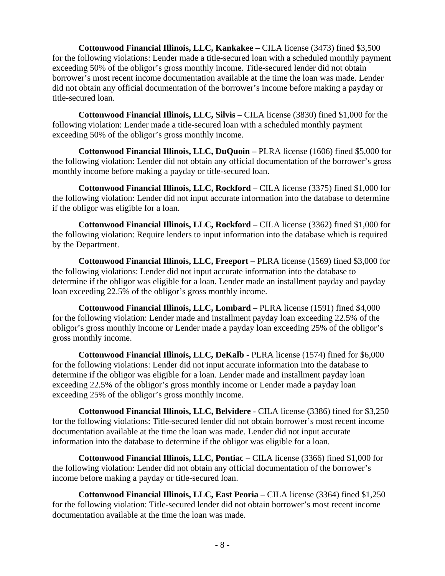**Cottonwood Financial Illinois, LLC, Kankakee –** CILA license (3473) fined \$3,500 for the following violations: Lender made a title-secured loan with a scheduled monthly payment exceeding 50% of the obligor's gross monthly income. Title-secured lender did not obtain borrower's most recent income documentation available at the time the loan was made. Lender did not obtain any official documentation of the borrower's income before making a payday or title-secured loan.

**Cottonwood Financial Illinois, LLC, Silvis** – CILA license (3830) fined \$1,000 for the following violation: Lender made a title-secured loan with a scheduled monthly payment exceeding 50% of the obligor's gross monthly income.

**Cottonwood Financial Illinois, LLC, DuQuoin –** PLRA license (1606) fined \$5,000 for the following violation: Lender did not obtain any official documentation of the borrower's gross monthly income before making a payday or title-secured loan.

**Cottonwood Financial Illinois, LLC, Rockford** – CILA license (3375) fined \$1,000 for the following violation: Lender did not input accurate information into the database to determine if the obligor was eligible for a loan.

**Cottonwood Financial Illinois, LLC, Rockford** – CILA license (3362) fined \$1,000 for the following violation: Require lenders to input information into the database which is required by the Department.

**Cottonwood Financial Illinois, LLC, Freeport –** PLRA license (1569) fined \$3,000 for the following violations: Lender did not input accurate information into the database to determine if the obligor was eligible for a loan. Lender made an installment payday and payday loan exceeding 22.5% of the obligor's gross monthly income.

**Cottonwood Financial Illinois, LLC, Lombard** – PLRA license (1591) fined \$4,000 for the following violation: Lender made and installment payday loan exceeding 22.5% of the obligor's gross monthly income or Lender made a payday loan exceeding 25% of the obligor's gross monthly income.

**Cottonwood Financial Illinois, LLC, DeKalb** - PLRA license (1574) fined for \$6,000 for the following violations: Lender did not input accurate information into the database to determine if the obligor was eligible for a loan. Lender made and installment payday loan exceeding 22.5% of the obligor's gross monthly income or Lender made a payday loan exceeding 25% of the obligor's gross monthly income.

**Cottonwood Financial Illinois, LLC, Belvidere** - CILA license (3386) fined for \$3,250 for the following violations: Title-secured lender did not obtain borrower's most recent income documentation available at the time the loan was made. Lender did not input accurate information into the database to determine if the obligor was eligible for a loan.

**Cottonwood Financial Illinois, LLC, Pontiac** – CILA license (3366) fined \$1,000 for the following violation: Lender did not obtain any official documentation of the borrower's income before making a payday or title-secured loan.

**Cottonwood Financial Illinois, LLC, East Peoria** – CILA license (3364) fined \$1,250 for the following violation: Title-secured lender did not obtain borrower's most recent income documentation available at the time the loan was made.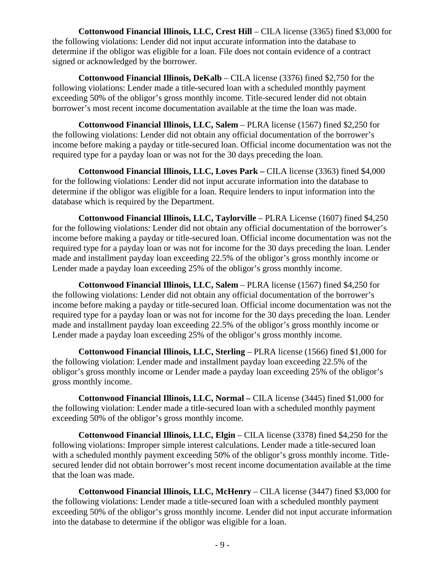**Cottonwood Financial Illinois, LLC, Crest Hill** – CILA license (3365) fined \$3,000 for the following violations: Lender did not input accurate information into the database to determine if the obligor was eligible for a loan. File does not contain evidence of a contract signed or acknowledged by the borrower.

**Cottonwood Financial Illinois, DeKalb** – CILA license (3376) fined \$2,750 for the following violations: Lender made a title-secured loan with a scheduled monthly payment exceeding 50% of the obligor's gross monthly income. Title-secured lender did not obtain borrower's most recent income documentation available at the time the loan was made.

**Cottonwood Financial Illinois, LLC, Salem** – PLRA license (1567) fined \$2,250 for the following violations: Lender did not obtain any official documentation of the borrower's income before making a payday or title-secured loan. Official income documentation was not the required type for a payday loan or was not for the 30 days preceding the loan.

**Cottonwood Financial Illinois, LLC, Loves Park –** CILA license (3363) fined \$4,000 for the following violations: Lender did not input accurate information into the database to determine if the obligor was eligible for a loan. Require lenders to input information into the database which is required by the Department.

**Cottonwood Financial Illinois, LLC, Taylorville** – PLRA License (1607) fined \$4,250 for the following violations: Lender did not obtain any official documentation of the borrower's income before making a payday or title-secured loan. Official income documentation was not the required type for a payday loan or was not for income for the 30 days preceding the loan. Lender made and installment payday loan exceeding 22.5% of the obligor's gross monthly income or Lender made a payday loan exceeding 25% of the obligor's gross monthly income.

**Cottonwood Financial Illinois, LLC, Salem** – PLRA license (1567) fined \$4,250 for the following violations: Lender did not obtain any official documentation of the borrower's income before making a payday or title-secured loan. Official income documentation was not the required type for a payday loan or was not for income for the 30 days preceding the loan. Lender made and installment payday loan exceeding 22.5% of the obligor's gross monthly income or Lender made a payday loan exceeding 25% of the obligor's gross monthly income.

**Cottonwood Financial Illinois, LLC, Sterling** – PLRA license (1566) fined \$1,000 for the following violation: Lender made and installment payday loan exceeding 22.5% of the obligor's gross monthly income or Lender made a payday loan exceeding 25% of the obligor's gross monthly income.

**Cottonwood Financial Illinois, LLC, Normal –** CILA license (3445) fined \$1,000 for the following violation: Lender made a title-secured loan with a scheduled monthly payment exceeding 50% of the obligor's gross monthly income.

**Cottonwood Financial Illinois, LLC, Elgin** – CILA license (3378) fined \$4,250 for the following violations: Improper simple interest calculations. Lender made a title-secured loan with a scheduled monthly payment exceeding 50% of the obligor's gross monthly income. Titlesecured lender did not obtain borrower's most recent income documentation available at the time that the loan was made.

**Cottonwood Financial Illinois, LLC, McHenry** – CILA license (3447) fined \$3,000 for the following violations: Lender made a title-secured loan with a scheduled monthly payment exceeding 50% of the obligor's gross monthly income. Lender did not input accurate information into the database to determine if the obligor was eligible for a loan.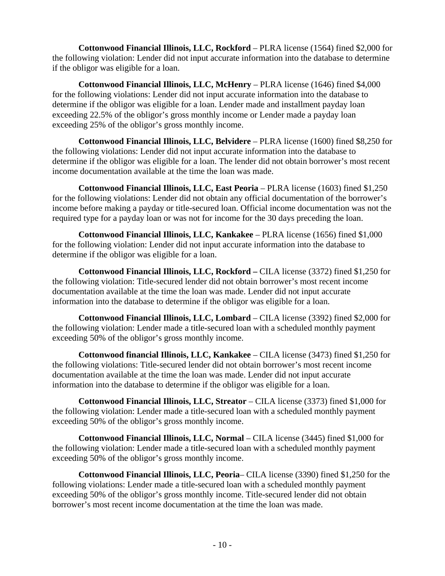**Cottonwood Financial Illinois, LLC, Rockford** – PLRA license (1564) fined \$2,000 for the following violation: Lender did not input accurate information into the database to determine if the obligor was eligible for a loan.

**Cottonwood Financial Illinois, LLC, McHenry** – PLRA license (1646) fined \$4,000 for the following violations: Lender did not input accurate information into the database to determine if the obligor was eligible for a loan. Lender made and installment payday loan exceeding 22.5% of the obligor's gross monthly income or Lender made a payday loan exceeding 25% of the obligor's gross monthly income.

**Cottonwood Financial Illinois, LLC, Belvidere** – PLRA license (1600) fined \$8,250 for the following violations: Lender did not input accurate information into the database to determine if the obligor was eligible for a loan. The lender did not obtain borrower's most recent income documentation available at the time the loan was made.

**Cottonwood Financial Illinois, LLC, East Peoria – PLRA license (1603) fined \$1,250** for the following violations: Lender did not obtain any official documentation of the borrower's income before making a payday or title-secured loan. Official income documentation was not the required type for a payday loan or was not for income for the 30 days preceding the loan.

**Cottonwood Financial Illinois, LLC, Kankakee** – PLRA license (1656) fined \$1,000 for the following violation: Lender did not input accurate information into the database to determine if the obligor was eligible for a loan.

**Cottonwood Financial Illinois, LLC, Rockford –** CILA license (3372) fined \$1,250 for the following violation: Title-secured lender did not obtain borrower's most recent income documentation available at the time the loan was made. Lender did not input accurate information into the database to determine if the obligor was eligible for a loan.

**Cottonwood Financial Illinois, LLC, Lombard** – CILA license (3392) fined \$2,000 for the following violation: Lender made a title-secured loan with a scheduled monthly payment exceeding 50% of the obligor's gross monthly income.

**Cottonwood financial Illinois, LLC, Kankakee** – CILA license (3473) fined \$1,250 for the following violations: Title-secured lender did not obtain borrower's most recent income documentation available at the time the loan was made. Lender did not input accurate information into the database to determine if the obligor was eligible for a loan.

**Cottonwood Financial Illinois, LLC, Streator** – CILA license (3373) fined \$1,000 for the following violation: Lender made a title-secured loan with a scheduled monthly payment exceeding 50% of the obligor's gross monthly income.

**Cottonwood Financial Illinois, LLC, Normal** – CILA license (3445) fined \$1,000 for the following violation: Lender made a title-secured loan with a scheduled monthly payment exceeding 50% of the obligor's gross monthly income.

**Cottonwood Financial Illinois, LLC, Peoria**– CILA license (3390) fined \$1,250 for the following violations: Lender made a title-secured loan with a scheduled monthly payment exceeding 50% of the obligor's gross monthly income. Title-secured lender did not obtain borrower's most recent income documentation at the time the loan was made.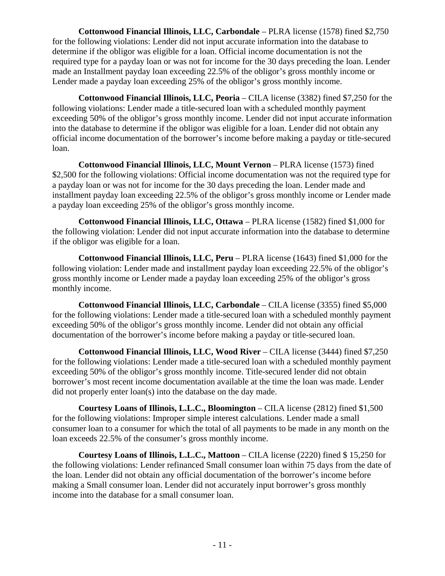**Cottonwood Financial Illinois, LLC, Carbondale** – PLRA license (1578) fined \$2,750 for the following violations: Lender did not input accurate information into the database to determine if the obligor was eligible for a loan. Official income documentation is not the required type for a payday loan or was not for income for the 30 days preceding the loan. Lender made an Installment payday loan exceeding 22.5% of the obligor's gross monthly income or Lender made a payday loan exceeding 25% of the obligor's gross monthly income.

**Cottonwood Financial Illinois, LLC, Peoria** – CILA license (3382) fined \$7,250 for the following violations: Lender made a title-secured loan with a scheduled monthly payment exceeding 50% of the obligor's gross monthly income. Lender did not input accurate information into the database to determine if the obligor was eligible for a loan. Lender did not obtain any official income documentation of the borrower's income before making a payday or title-secured loan.

**Cottonwood Financial Illinois, LLC, Mount Vernon** – PLRA license (1573) fined \$2,500 for the following violations: Official income documentation was not the required type for a payday loan or was not for income for the 30 days preceding the loan. Lender made and installment payday loan exceeding 22.5% of the obligor's gross monthly income or Lender made a payday loan exceeding 25% of the obligor's gross monthly income.

**Cottonwood Financial Illinois, LLC, Ottawa** – PLRA license (1582) fined \$1,000 for the following violation: Lender did not input accurate information into the database to determine if the obligor was eligible for a loan.

**Cottonwood Financial Illinois, LLC, Peru** – PLRA license (1643) fined \$1,000 for the following violation: Lender made and installment payday loan exceeding 22.5% of the obligor's gross monthly income or Lender made a payday loan exceeding 25% of the obligor's gross monthly income.

**Cottonwood Financial Illinois, LLC, Carbondale** – CILA license (3355) fined \$5,000 for the following violations: Lender made a title-secured loan with a scheduled monthly payment exceeding 50% of the obligor's gross monthly income. Lender did not obtain any official documentation of the borrower's income before making a payday or title-secured loan.

**Cottonwood Financial Illinois, LLC, Wood River** – CILA license (3444) fined \$7,250 for the following violations: Lender made a title-secured loan with a scheduled monthly payment exceeding 50% of the obligor's gross monthly income. Title-secured lender did not obtain borrower's most recent income documentation available at the time the loan was made. Lender did not properly enter loan(s) into the database on the day made.

**Courtesy Loans of Illinois, L.L.C., Bloomington** – CILA license (2812) fined \$1,500 for the following violations: Improper simple interest calculations. Lender made a small consumer loan to a consumer for which the total of all payments to be made in any month on the loan exceeds 22.5% of the consumer's gross monthly income.

**Courtesy Loans of Illinois, L.L.C., Mattoon** – CILA license (2220) fined \$ 15,250 for the following violations: Lender refinanced Small consumer loan within 75 days from the date of the loan. Lender did not obtain any official documentation of the borrower's income before making a Small consumer loan. Lender did not accurately input borrower's gross monthly income into the database for a small consumer loan.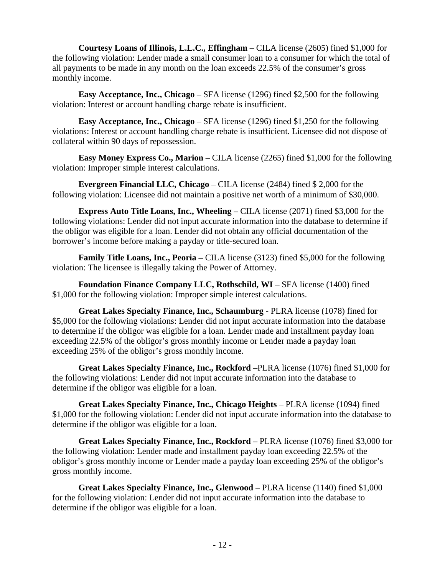**Courtesy Loans of Illinois, L.L.C., Effingham** – CILA license (2605) fined \$1,000 for the following violation: Lender made a small consumer loan to a consumer for which the total of all payments to be made in any month on the loan exceeds 22.5% of the consumer's gross monthly income.

**Easy Acceptance, Inc., Chicago** – SFA license (1296) fined \$2,500 for the following violation: Interest or account handling charge rebate is insufficient.

**Easy Acceptance, Inc., Chicago** – SFA license (1296) fined \$1,250 for the following violations: Interest or account handling charge rebate is insufficient. Licensee did not dispose of collateral within 90 days of repossession.

**Easy Money Express Co., Marion** – CILA license (2265) fined \$1,000 for the following violation: Improper simple interest calculations.

**Evergreen Financial LLC, Chicago** – CILA license (2484) fined \$ 2,000 for the following violation: Licensee did not maintain a positive net worth of a minimum of \$30,000.

**Express Auto Title Loans, Inc., Wheeling** – CILA license (2071) fined \$3,000 for the following violations: Lender did not input accurate information into the database to determine if the obligor was eligible for a loan. Lender did not obtain any official documentation of the borrower's income before making a payday or title-secured loan.

**Family Title Loans, Inc., Peoria** – CILA license (3123) fined \$5,000 for the following violation: The licensee is illegally taking the Power of Attorney.

**Foundation Finance Company LLC, Rothschild, WI – SFA license (1400) fined** \$1,000 for the following violation: Improper simple interest calculations.

**Great Lakes Specialty Finance, Inc., Schaumburg** - PLRA license (1078) fined for \$5,000 for the following violations: Lender did not input accurate information into the database to determine if the obligor was eligible for a loan. Lender made and installment payday loan exceeding 22.5% of the obligor's gross monthly income or Lender made a payday loan exceeding 25% of the obligor's gross monthly income.

**Great Lakes Specialty Finance, Inc., Rockford** –PLRA license (1076) fined \$1,000 for the following violations: Lender did not input accurate information into the database to determine if the obligor was eligible for a loan.

**Great Lakes Specialty Finance, Inc., Chicago Heights** – PLRA license (1094) fined \$1,000 for the following violation: Lender did not input accurate information into the database to determine if the obligor was eligible for a loan.

**Great Lakes Specialty Finance, Inc., Rockford** – PLRA license (1076) fined \$3,000 for the following violation: Lender made and installment payday loan exceeding 22.5% of the obligor's gross monthly income or Lender made a payday loan exceeding 25% of the obligor's gross monthly income.

**Great Lakes Specialty Finance, Inc., Glenwood** – PLRA license (1140) fined \$1,000 for the following violation: Lender did not input accurate information into the database to determine if the obligor was eligible for a loan.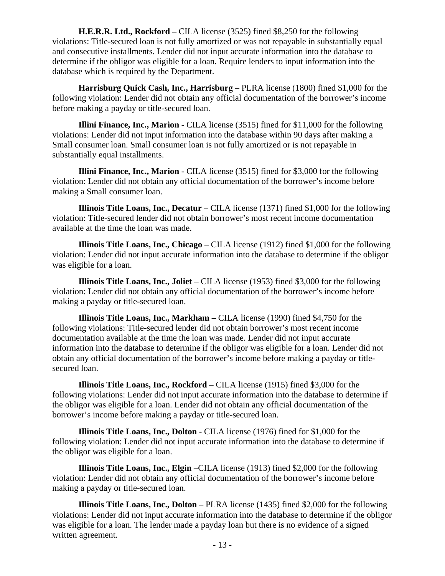**H.E.R.R. Ltd., Rockford –** CILA license (3525) fined \$8,250 for the following violations: Title-secured loan is not fully amortized or was not repayable in substantially equal and consecutive installments. Lender did not input accurate information into the database to determine if the obligor was eligible for a loan. Require lenders to input information into the database which is required by the Department.

**Harrisburg Quick Cash, Inc., Harrisburg** – PLRA license (1800) fined \$1,000 for the following violation: Lender did not obtain any official documentation of the borrower's income before making a payday or title-secured loan.

**Illini Finance, Inc., Marion** - CILA license (3515) fined for \$11,000 for the following violations: Lender did not input information into the database within 90 days after making a Small consumer loan. Small consumer loan is not fully amortized or is not repayable in substantially equal installments.

**Illini Finance, Inc., Marion** - CILA license (3515) fined for \$3,000 for the following violation: Lender did not obtain any official documentation of the borrower's income before making a Small consumer loan.

**Illinois Title Loans, Inc., Decatur** – CILA license (1371) fined \$1,000 for the following violation: Title-secured lender did not obtain borrower's most recent income documentation available at the time the loan was made.

**Illinois Title Loans, Inc., Chicago** – CILA license (1912) fined \$1,000 for the following violation: Lender did not input accurate information into the database to determine if the obligor was eligible for a loan.

**Illinois Title Loans, Inc., Joliet** – CILA license (1953) fined \$3,000 for the following violation: Lender did not obtain any official documentation of the borrower's income before making a payday or title-secured loan.

**Illinois Title Loans, Inc., Markham –** CILA license (1990) fined \$4,750 for the following violations: Title-secured lender did not obtain borrower's most recent income documentation available at the time the loan was made. Lender did not input accurate information into the database to determine if the obligor was eligible for a loan. Lender did not obtain any official documentation of the borrower's income before making a payday or titlesecured loan.

**Illinois Title Loans, Inc., Rockford** – CILA license (1915) fined \$3,000 for the following violations: Lender did not input accurate information into the database to determine if the obligor was eligible for a loan. Lender did not obtain any official documentation of the borrower's income before making a payday or title-secured loan.

**Illinois Title Loans, Inc., Dolton** - CILA license (1976) fined for \$1,000 for the following violation: Lender did not input accurate information into the database to determine if the obligor was eligible for a loan.

**Illinois Title Loans, Inc., Elgin** –CILA license (1913) fined \$2,000 for the following violation: Lender did not obtain any official documentation of the borrower's income before making a payday or title-secured loan.

**Illinois Title Loans, Inc., Dolton** – PLRA license (1435) fined \$2,000 for the following violations: Lender did not input accurate information into the database to determine if the obligor was eligible for a loan. The lender made a payday loan but there is no evidence of a signed written agreement.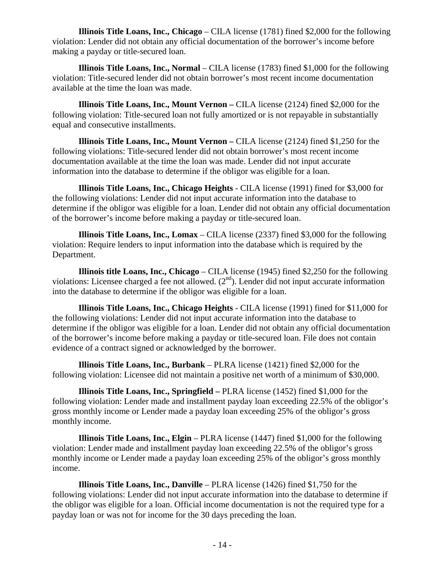**Illinois Title Loans, Inc., Chicago** – CILA license (1781) fined \$2,000 for the following violation: Lender did not obtain any official documentation of the borrower's income before making a payday or title-secured loan.

**Illinois Title Loans, Inc., Normal** – CILA license (1783) fined \$1,000 for the following violation: Title-secured lender did not obtain borrower's most recent income documentation available at the time the loan was made.

**Illinois Title Loans, Inc., Mount Vernon –** CILA license (2124) fined \$2,000 for the following violation: Title-secured loan not fully amortized or is not repayable in substantially equal and consecutive installments.

**Illinois Title Loans, Inc., Mount Vernon –** CILA license (2124) fined \$1,250 for the following violations: Title-secured lender did not obtain borrower's most recent income documentation available at the time the loan was made. Lender did not input accurate information into the database to determine if the obligor was eligible for a loan.

**Illinois Title Loans, Inc., Chicago Heights** - CILA license (1991) fined for \$3,000 for the following violations: Lender did not input accurate information into the database to determine if the obligor was eligible for a loan. Lender did not obtain any official documentation of the borrower's income before making a payday or title-secured loan.

**Illinois Title Loans, Inc., Lomax** – CILA license (2337) fined \$3,000 for the following violation: Require lenders to input information into the database which is required by the Department.

**Illinois title Loans, Inc., Chicago** – CILA license (1945) fined \$2,250 for the following violations: Licensee charged a fee not allowed.  $(2<sup>nd</sup>)$ . Lender did not input accurate information into the database to determine if the obligor was eligible for a loan.

**Illinois Title Loans, Inc., Chicago Heights** - CILA license (1991) fined for \$11,000 for the following violations: Lender did not input accurate information into the database to determine if the obligor was eligible for a loan. Lender did not obtain any official documentation of the borrower's income before making a payday or title-secured loan. File does not contain evidence of a contract signed or acknowledged by the borrower.

**Illinois Title Loans, Inc., Burbank** – PLRA license (1421) fined \$2,000 for the following violation: Licensee did not maintain a positive net worth of a minimum of \$30,000.

**Illinois Title Loans, Inc., Springfield –** PLRA license (1452) fined \$1,000 for the following violation: Lender made and installment payday loan exceeding 22.5% of the obligor's gross monthly income or Lender made a payday loan exceeding 25% of the obligor's gross monthly income.

**Illinois Title Loans, Inc., Elgin** – PLRA license (1447) fined \$1,000 for the following violation: Lender made and installment payday loan exceeding 22.5% of the obligor's gross monthly income or Lender made a payday loan exceeding 25% of the obligor's gross monthly income.

**Illinois Title Loans, Inc., Danville** – PLRA license (1426) fined \$1,750 for the following violations: Lender did not input accurate information into the database to determine if the obligor was eligible for a loan. Official income documentation is not the required type for a payday loan or was not for income for the 30 days preceding the loan.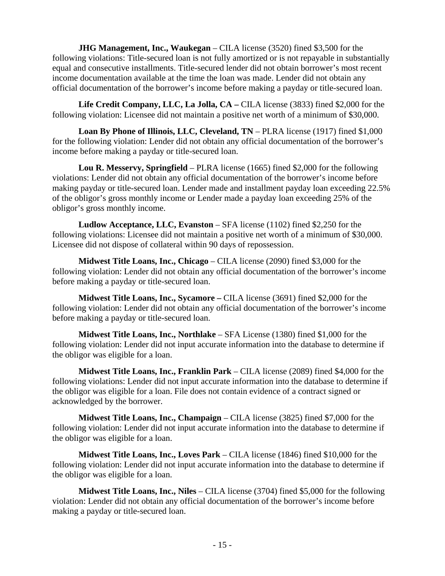**JHG Management, Inc., Waukegan** – CILA license (3520) fined \$3,500 for the following violations: Title-secured loan is not fully amortized or is not repayable in substantially equal and consecutive installments. Title-secured lender did not obtain borrower's most recent income documentation available at the time the loan was made. Lender did not obtain any official documentation of the borrower's income before making a payday or title-secured loan.

**Life Credit Company, LLC, La Jolla, CA –** CILA license (3833) fined \$2,000 for the following violation: Licensee did not maintain a positive net worth of a minimum of \$30,000.

**Loan By Phone of Illinois, LLC, Cleveland, TN** – PLRA license (1917) fined \$1,000 for the following violation: Lender did not obtain any official documentation of the borrower's income before making a payday or title-secured loan.

**Lou R. Messervy, Springfield** – PLRA license (1665) fined \$2,000 for the following violations: Lender did not obtain any official documentation of the borrower's income before making payday or title-secured loan. Lender made and installment payday loan exceeding 22.5% of the obligor's gross monthly income or Lender made a payday loan exceeding 25% of the obligor's gross monthly income.

**Ludlow Acceptance, LLC, Evanston** – SFA license (1102) fined \$2,250 for the following violations: Licensee did not maintain a positive net worth of a minimum of \$30,000. Licensee did not dispose of collateral within 90 days of repossession.

**Midwest Title Loans, Inc., Chicago** – CILA license (2090) fined \$3,000 for the following violation: Lender did not obtain any official documentation of the borrower's income before making a payday or title-secured loan.

**Midwest Title Loans, Inc., Sycamore –** CILA license (3691) fined \$2,000 for the following violation: Lender did not obtain any official documentation of the borrower's income before making a payday or title-secured loan.

**Midwest Title Loans, Inc., Northlake** – SFA License (1380) fined \$1,000 for the following violation: Lender did not input accurate information into the database to determine if the obligor was eligible for a loan.

**Midwest Title Loans, Inc., Franklin Park** – CILA license (2089) fined \$4,000 for the following violations: Lender did not input accurate information into the database to determine if the obligor was eligible for a loan. File does not contain evidence of a contract signed or acknowledged by the borrower.

**Midwest Title Loans, Inc., Champaign** – CILA license (3825) fined \$7,000 for the following violation: Lender did not input accurate information into the database to determine if the obligor was eligible for a loan.

**Midwest Title Loans, Inc., Loves Park** – CILA license (1846) fined \$10,000 for the following violation: Lender did not input accurate information into the database to determine if the obligor was eligible for a loan.

**Midwest Title Loans, Inc., Niles** – CILA license (3704) fined \$5,000 for the following violation: Lender did not obtain any official documentation of the borrower's income before making a payday or title-secured loan.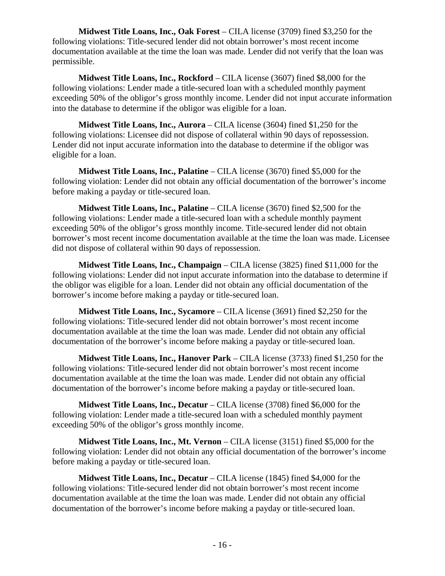**Midwest Title Loans, Inc., Oak Forest** – CILA license (3709) fined \$3,250 for the following violations: Title-secured lender did not obtain borrower's most recent income documentation available at the time the loan was made. Lender did not verify that the loan was permissible.

**Midwest Title Loans, Inc., Rockford** – CILA license (3607) fined \$8,000 for the following violations: Lender made a title-secured loan with a scheduled monthly payment exceeding 50% of the obligor's gross monthly income. Lender did not input accurate information into the database to determine if the obligor was eligible for a loan.

**Midwest Title Loans, Inc., Aurora** – CILA license (3604) fined \$1,250 for the following violations: Licensee did not dispose of collateral within 90 days of repossession. Lender did not input accurate information into the database to determine if the obligor was eligible for a loan.

**Midwest Title Loans, Inc., Palatine** – CILA license (3670) fined \$5,000 for the following violation: Lender did not obtain any official documentation of the borrower's income before making a payday or title-secured loan.

**Midwest Title Loans, Inc., Palatine** – CILA license (3670) fined \$2,500 for the following violations: Lender made a title-secured loan with a schedule monthly payment exceeding 50% of the obligor's gross monthly income. Title-secured lender did not obtain borrower's most recent income documentation available at the time the loan was made. Licensee did not dispose of collateral within 90 days of repossession.

**Midwest Title Loans, Inc., Champaign** – CILA license (3825) fined \$11,000 for the following violations: Lender did not input accurate information into the database to determine if the obligor was eligible for a loan. Lender did not obtain any official documentation of the borrower's income before making a payday or title-secured loan.

**Midwest Title Loans, Inc., Sycamore** – CILA license (3691) fined \$2,250 for the following violations: Title-secured lender did not obtain borrower's most recent income documentation available at the time the loan was made. Lender did not obtain any official documentation of the borrower's income before making a payday or title-secured loan.

**Midwest Title Loans, Inc., Hanover Park** – CILA license (3733) fined \$1,250 for the following violations: Title-secured lender did not obtain borrower's most recent income documentation available at the time the loan was made. Lender did not obtain any official documentation of the borrower's income before making a payday or title-secured loan.

**Midwest Title Loans, Inc., Decatur** – CILA license (3708) fined \$6,000 for the following violation: Lender made a title-secured loan with a scheduled monthly payment exceeding 50% of the obligor's gross monthly income.

**Midwest Title Loans, Inc., Mt. Vernon** – CILA license (3151) fined \$5,000 for the following violation: Lender did not obtain any official documentation of the borrower's income before making a payday or title-secured loan.

**Midwest Title Loans, Inc., Decatur** – CILA license (1845) fined \$4,000 for the following violations: Title-secured lender did not obtain borrower's most recent income documentation available at the time the loan was made. Lender did not obtain any official documentation of the borrower's income before making a payday or title-secured loan.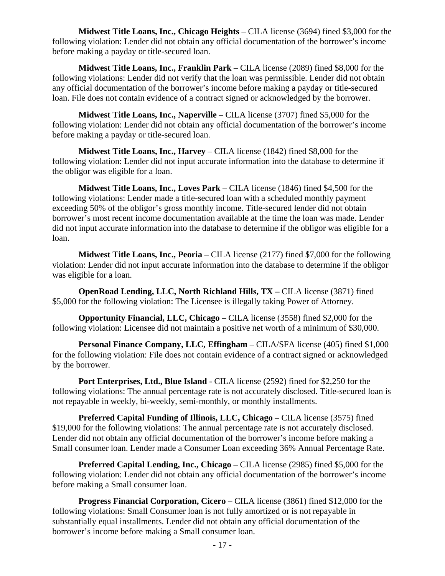**Midwest Title Loans, Inc., Chicago Heights** – CILA license (3694) fined \$3,000 for the following violation: Lender did not obtain any official documentation of the borrower's income before making a payday or title-secured loan.

**Midwest Title Loans, Inc., Franklin Park** – CILA license (2089) fined \$8,000 for the following violations: Lender did not verify that the loan was permissible. Lender did not obtain any official documentation of the borrower's income before making a payday or title-secured loan. File does not contain evidence of a contract signed or acknowledged by the borrower.

**Midwest Title Loans, Inc., Naperville** – CILA license (3707) fined \$5,000 for the following violation: Lender did not obtain any official documentation of the borrower's income before making a payday or title-secured loan.

**Midwest Title Loans, Inc., Harvey** – CILA license (1842) fined \$8,000 for the following violation: Lender did not input accurate information into the database to determine if the obligor was eligible for a loan.

**Midwest Title Loans, Inc., Loves Park** – CILA license (1846) fined \$4,500 for the following violations: Lender made a title-secured loan with a scheduled monthly payment exceeding 50% of the obligor's gross monthly income. Title-secured lender did not obtain borrower's most recent income documentation available at the time the loan was made. Lender did not input accurate information into the database to determine if the obligor was eligible for a loan.

**Midwest Title Loans, Inc., Peoria** – CILA license (2177) fined \$7,000 for the following violation: Lender did not input accurate information into the database to determine if the obligor was eligible for a loan.

**OpenRoad Lending, LLC, North Richland Hills, TX –** CILA license (3871) fined \$5,000 for the following violation: The Licensee is illegally taking Power of Attorney.

**Opportunity Financial, LLC, Chicago** – CILA license (3558) fined \$2,000 for the following violation: Licensee did not maintain a positive net worth of a minimum of \$30,000.

**Personal Finance Company, LLC, Effingham** – CILA/SFA license (405) fined \$1,000 for the following violation: File does not contain evidence of a contract signed or acknowledged by the borrower.

**Port Enterprises, Ltd., Blue Island** - CILA license (2592) fined for \$2,250 for the following violations: The annual percentage rate is not accurately disclosed. Title-secured loan is not repayable in weekly, bi-weekly, semi-monthly, or monthly installments.

**Preferred Capital Funding of Illinois, LLC, Chicago** – CILA license (3575) fined \$19,000 for the following violations: The annual percentage rate is not accurately disclosed. Lender did not obtain any official documentation of the borrower's income before making a Small consumer loan. Lender made a Consumer Loan exceeding 36% Annual Percentage Rate.

**Preferred Capital Lending, Inc., Chicago** – CILA license (2985) fined \$5,000 for the following violation: Lender did not obtain any official documentation of the borrower's income before making a Small consumer loan.

**Progress Financial Corporation, Cicero** – CILA license (3861) fined \$12,000 for the following violations: Small Consumer loan is not fully amortized or is not repayable in substantially equal installments. Lender did not obtain any official documentation of the borrower's income before making a Small consumer loan.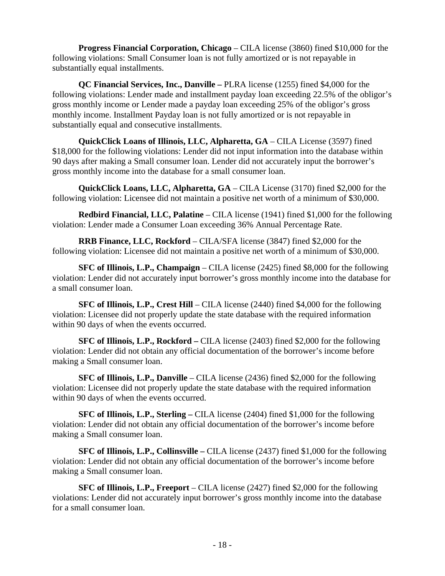**Progress Financial Corporation, Chicago** – CILA license (3860) fined \$10,000 for the following violations: Small Consumer loan is not fully amortized or is not repayable in substantially equal installments.

**QC Financial Services, Inc., Danville –** PLRA license (1255) fined \$4,000 for the following violations: Lender made and installment payday loan exceeding 22.5% of the obligor's gross monthly income or Lender made a payday loan exceeding 25% of the obligor's gross monthly income. Installment Payday loan is not fully amortized or is not repayable in substantially equal and consecutive installments.

**QuickClick Loans of Illinois, LLC, Alpharetta, GA** – CILA License (3597) fined \$18,000 for the following violations: Lender did not input information into the database within 90 days after making a Small consumer loan. Lender did not accurately input the borrower's gross monthly income into the database for a small consumer loan.

**QuickClick Loans, LLC, Alpharetta, GA** – CILA License (3170) fined \$2,000 for the following violation: Licensee did not maintain a positive net worth of a minimum of \$30,000.

**Redbird Financial, LLC, Palatine** – CILA license (1941) fined \$1,000 for the following violation: Lender made a Consumer Loan exceeding 36% Annual Percentage Rate.

**RRB Finance, LLC, Rockford** – CILA/SFA license (3847) fined \$2,000 for the following violation: Licensee did not maintain a positive net worth of a minimum of \$30,000.

**SFC of Illinois, L.P., Champaign** – CILA license (2425) fined \$8,000 for the following violation: Lender did not accurately input borrower's gross monthly income into the database for a small consumer loan.

**SFC of Illinois, L.P., Crest Hill** – CILA license (2440) fined \$4,000 for the following violation: Licensee did not properly update the state database with the required information within 90 days of when the events occurred.

**SFC of Illinois, L.P., Rockford –** CILA license (2403) fined \$2,000 for the following violation: Lender did not obtain any official documentation of the borrower's income before making a Small consumer loan.

**SFC of Illinois, L.P., Danville** – CILA license (2436) fined \$2,000 for the following violation: Licensee did not properly update the state database with the required information within 90 days of when the events occurred.

**SFC of Illinois, L.P., Sterling –** CILA license (2404) fined \$1,000 for the following violation: Lender did not obtain any official documentation of the borrower's income before making a Small consumer loan.

**SFC of Illinois, L.P., Collinsville –** CILA license (2437) fined \$1,000 for the following violation: Lender did not obtain any official documentation of the borrower's income before making a Small consumer loan.

**SFC of Illinois, L.P., Freeport** – CILA license (2427) fined \$2,000 for the following violations: Lender did not accurately input borrower's gross monthly income into the database for a small consumer loan.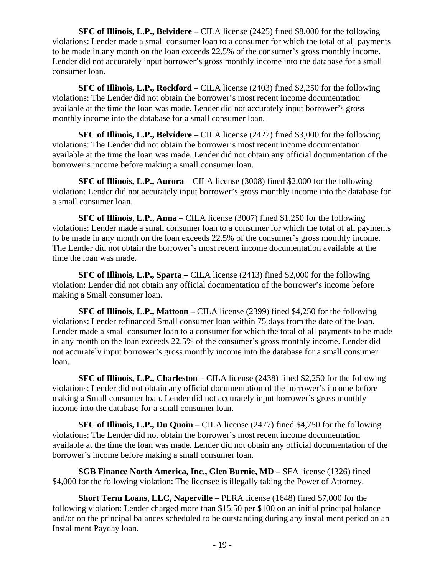**SFC of Illinois, L.P., Belvidere** – CILA license (2425) fined \$8,000 for the following violations: Lender made a small consumer loan to a consumer for which the total of all payments to be made in any month on the loan exceeds 22.5% of the consumer's gross monthly income. Lender did not accurately input borrower's gross monthly income into the database for a small consumer loan.

**SFC of Illinois, L.P., Rockford** – CILA license (2403) fined \$2,250 for the following violations: The Lender did not obtain the borrower's most recent income documentation available at the time the loan was made. Lender did not accurately input borrower's gross monthly income into the database for a small consumer loan.

**SFC of Illinois, L.P., Belvidere** – CILA license (2427) fined \$3,000 for the following violations: The Lender did not obtain the borrower's most recent income documentation available at the time the loan was made. Lender did not obtain any official documentation of the borrower's income before making a small consumer loan.

**SFC of Illinois, L.P., Aurora** – CILA license (3008) fined \$2,000 for the following violation: Lender did not accurately input borrower's gross monthly income into the database for a small consumer loan.

**SFC of Illinois, L.P., Anna** – CILA license (3007) fined \$1,250 for the following violations: Lender made a small consumer loan to a consumer for which the total of all payments to be made in any month on the loan exceeds 22.5% of the consumer's gross monthly income. The Lender did not obtain the borrower's most recent income documentation available at the time the loan was made.

**SFC of Illinois, L.P., Sparta –** CILA license (2413) fined \$2,000 for the following violation: Lender did not obtain any official documentation of the borrower's income before making a Small consumer loan.

**SFC of Illinois, L.P., Mattoon** – CILA license (2399) fined \$4,250 for the following violations: Lender refinanced Small consumer loan within 75 days from the date of the loan. Lender made a small consumer loan to a consumer for which the total of all payments to be made in any month on the loan exceeds 22.5% of the consumer's gross monthly income. Lender did not accurately input borrower's gross monthly income into the database for a small consumer loan.

**SFC of Illinois, L.P., Charleston –** CILA license (2438) fined \$2,250 for the following violations: Lender did not obtain any official documentation of the borrower's income before making a Small consumer loan. Lender did not accurately input borrower's gross monthly income into the database for a small consumer loan.

**SFC of Illinois, L.P., Du Quoin** – CILA license (2477) fined \$4,750 for the following violations: The Lender did not obtain the borrower's most recent income documentation available at the time the loan was made. Lender did not obtain any official documentation of the borrower's income before making a small consumer loan.

**SGB Finance North America, Inc., Glen Burnie, MD** – SFA license (1326) fined \$4,000 for the following violation: The licensee is illegally taking the Power of Attorney.

**Short Term Loans, LLC, Naperville** – PLRA license (1648) fined \$7,000 for the following violation: Lender charged more than \$15.50 per \$100 on an initial principal balance and/or on the principal balances scheduled to be outstanding during any installment period on an Installment Payday loan.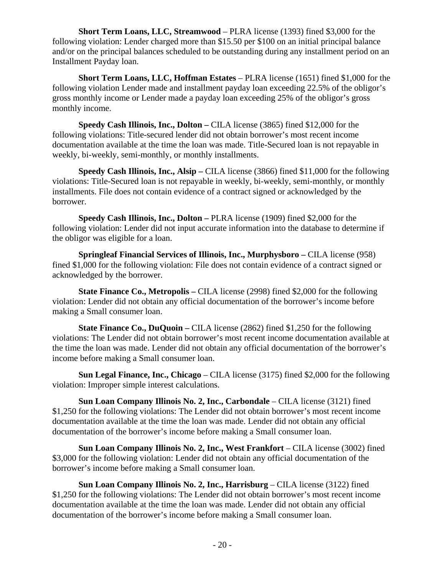**Short Term Loans, LLC, Streamwood** – PLRA license (1393) fined \$3,000 for the following violation: Lender charged more than \$15.50 per \$100 on an initial principal balance and/or on the principal balances scheduled to be outstanding during any installment period on an Installment Payday loan.

**Short Term Loans, LLC, Hoffman Estates** – PLRA license (1651) fined \$1,000 for the following violation Lender made and installment payday loan exceeding 22.5% of the obligor's gross monthly income or Lender made a payday loan exceeding 25% of the obligor's gross monthly income.

**Speedy Cash Illinois, Inc., Dolton –** CILA license (3865) fined \$12,000 for the following violations: Title-secured lender did not obtain borrower's most recent income documentation available at the time the loan was made. Title-Secured loan is not repayable in weekly, bi-weekly, semi-monthly, or monthly installments.

**Speedy Cash Illinois, Inc., Alsip –** CILA license (3866) fined \$11,000 for the following violations: Title-Secured loan is not repayable in weekly, bi-weekly, semi-monthly, or monthly installments. File does not contain evidence of a contract signed or acknowledged by the borrower.

**Speedy Cash Illinois, Inc., Dolton –** PLRA license (1909) fined \$2,000 for the following violation: Lender did not input accurate information into the database to determine if the obligor was eligible for a loan.

**Springleaf Financial Services of Illinois, Inc., Murphysboro –** CILA license (958) fined \$1,000 for the following violation: File does not contain evidence of a contract signed or acknowledged by the borrower.

**State Finance Co., Metropolis –** CILA license (2998) fined \$2,000 for the following violation: Lender did not obtain any official documentation of the borrower's income before making a Small consumer loan.

**State Finance Co., DuQuoin –** CILA license (2862) fined \$1,250 for the following violations: The Lender did not obtain borrower's most recent income documentation available at the time the loan was made. Lender did not obtain any official documentation of the borrower's income before making a Small consumer loan.

**Sun Legal Finance, Inc., Chicago** – CILA license (3175) fined \$2,000 for the following violation: Improper simple interest calculations.

**Sun Loan Company Illinois No. 2, Inc., Carbondale** – CILA license (3121) fined \$1,250 for the following violations: The Lender did not obtain borrower's most recent income documentation available at the time the loan was made. Lender did not obtain any official documentation of the borrower's income before making a Small consumer loan.

**Sun Loan Company Illinois No. 2, Inc., West Frankfort** – CILA license (3002) fined \$3,000 for the following violation: Lender did not obtain any official documentation of the borrower's income before making a Small consumer loan.

**Sun Loan Company Illinois No. 2, Inc., Harrisburg** – CILA license (3122) fined \$1,250 for the following violations: The Lender did not obtain borrower's most recent income documentation available at the time the loan was made. Lender did not obtain any official documentation of the borrower's income before making a Small consumer loan.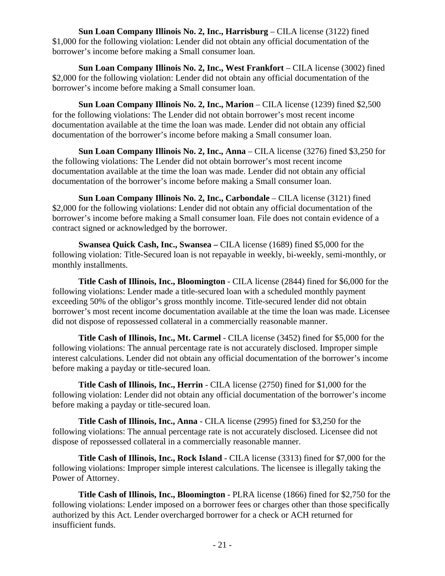**Sun Loan Company Illinois No. 2, Inc., Harrisburg** – CILA license (3122) fined \$1,000 for the following violation: Lender did not obtain any official documentation of the borrower's income before making a Small consumer loan.

**Sun Loan Company Illinois No. 2, Inc., West Frankfort** – CILA license (3002) fined \$2,000 for the following violation: Lender did not obtain any official documentation of the borrower's income before making a Small consumer loan.

**Sun Loan Company Illinois No. 2, Inc., Marion** – CILA license (1239) fined \$2,500 for the following violations: The Lender did not obtain borrower's most recent income documentation available at the time the loan was made. Lender did not obtain any official documentation of the borrower's income before making a Small consumer loan.

**Sun Loan Company Illinois No. 2, Inc., Anna** – CILA license (3276) fined \$3,250 for the following violations: The Lender did not obtain borrower's most recent income documentation available at the time the loan was made. Lender did not obtain any official documentation of the borrower's income before making a Small consumer loan.

**Sun Loan Company Illinois No. 2, Inc., Carbondale** – CILA license (3121) fined \$2,000 for the following violations: Lender did not obtain any official documentation of the borrower's income before making a Small consumer loan. File does not contain evidence of a contract signed or acknowledged by the borrower.

**Swansea Quick Cash, Inc., Swansea –** CILA license (1689) fined \$5,000 for the following violation: Title-Secured loan is not repayable in weekly, bi-weekly, semi-monthly, or monthly installments.

**Title Cash of Illinois, Inc., Bloomington** - CILA license (2844) fined for \$6,000 for the following violations: Lender made a title-secured loan with a scheduled monthly payment exceeding 50% of the obligor's gross monthly income. Title-secured lender did not obtain borrower's most recent income documentation available at the time the loan was made. Licensee did not dispose of repossessed collateral in a commercially reasonable manner.

**Title Cash of Illinois, Inc., Mt. Carmel** - CILA license (3452) fined for \$5,000 for the following violations: The annual percentage rate is not accurately disclosed. Improper simple interest calculations. Lender did not obtain any official documentation of the borrower's income before making a payday or title-secured loan.

**Title Cash of Illinois, Inc., Herrin** - CILA license (2750) fined for \$1,000 for the following violation: Lender did not obtain any official documentation of the borrower's income before making a payday or title-secured loan.

**Title Cash of Illinois, Inc., Anna** - CILA license (2995) fined for \$3,250 for the following violations: The annual percentage rate is not accurately disclosed. Licensee did not dispose of repossessed collateral in a commercially reasonable manner.

**Title Cash of Illinois, Inc., Rock Island** - CILA license (3313) fined for \$7,000 for the following violations: Improper simple interest calculations. The licensee is illegally taking the Power of Attorney.

**Title Cash of Illinois, Inc., Bloomington** - PLRA license (1866) fined for \$2,750 for the following violations: Lender imposed on a borrower fees or charges other than those specifically authorized by this Act. Lender overcharged borrower for a check or ACH returned for insufficient funds.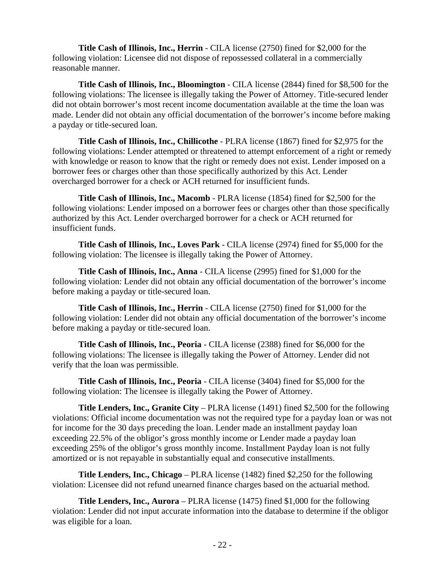**Title Cash of Illinois, Inc., Herrin** - CILA license (2750) fined for \$2,000 for the following violation: Licensee did not dispose of repossessed collateral in a commercially reasonable manner.

**Title Cash of Illinois, Inc., Bloomington** - CILA license (2844) fined for \$8,500 for the following violations: The licensee is illegally taking the Power of Attorney. Title-secured lender did not obtain borrower's most recent income documentation available at the time the loan was made. Lender did not obtain any official documentation of the borrower's income before making a payday or title-secured loan.

**Title Cash of Illinois, Inc., Chillicothe** - PLRA license (1867) fined for \$2,975 for the following violations: Lender attempted or threatened to attempt enforcement of a right or remedy with knowledge or reason to know that the right or remedy does not exist. Lender imposed on a borrower fees or charges other than those specifically authorized by this Act. Lender overcharged borrower for a check or ACH returned for insufficient funds.

**Title Cash of Illinois, Inc., Macomb** - PLRA license (1854) fined for \$2,500 for the following violations: Lender imposed on a borrower fees or charges other than those specifically authorized by this Act. Lender overcharged borrower for a check or ACH returned for insufficient funds.

**Title Cash of Illinois, Inc., Loves Park** - CILA license (2974) fined for \$5,000 for the following violation: The licensee is illegally taking the Power of Attorney.

**Title Cash of Illinois, Inc., Anna** - CILA license (2995) fined for \$1,000 for the following violation: Lender did not obtain any official documentation of the borrower's income before making a payday or title-secured loan.

**Title Cash of Illinois, Inc., Herrin** - CILA license (2750) fined for \$1,000 for the following violation: Lender did not obtain any official documentation of the borrower's income before making a payday or title-secured loan.

**Title Cash of Illinois, Inc., Peoria** - CILA license (2388) fined for \$6,000 for the following violations: The licensee is illegally taking the Power of Attorney. Lender did not verify that the loan was permissible.

**Title Cash of Illinois, Inc., Peoria** - CILA license (3404) fined for \$5,000 for the following violation: The licensee is illegally taking the Power of Attorney.

**Title Lenders, Inc., Granite City** – PLRA license (1491) fined \$2,500 for the following violations: Official income documentation was not the required type for a payday loan or was not for income for the 30 days preceding the loan. Lender made an installment payday loan exceeding 22.5% of the obligor's gross monthly income or Lender made a payday loan exceeding 25% of the obligor's gross monthly income. Installment Payday loan is not fully amortized or is not repayable in substantially equal and consecutive installments.

**Title Lenders, Inc., Chicago** – PLRA license (1482) fined \$2,250 for the following violation: Licensee did not refund unearned finance charges based on the actuarial method.

**Title Lenders, Inc., Aurora** – PLRA license (1475) fined \$1,000 for the following violation: Lender did not input accurate information into the database to determine if the obligor was eligible for a loan.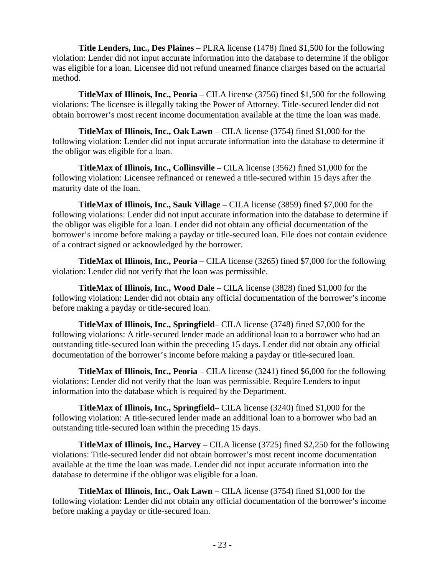**Title Lenders, Inc., Des Plaines** – PLRA license (1478) fined \$1,500 for the following violation: Lender did not input accurate information into the database to determine if the obligor was eligible for a loan. Licensee did not refund unearned finance charges based on the actuarial method.

**TitleMax of Illinois, Inc., Peoria** – CILA license (3756) fined \$1,500 for the following violations: The licensee is illegally taking the Power of Attorney. Title-secured lender did not obtain borrower's most recent income documentation available at the time the loan was made.

**TitleMax of Illinois, Inc., Oak Lawn** – CILA license (3754) fined \$1,000 for the following violation: Lender did not input accurate information into the database to determine if the obligor was eligible for a loan.

**TitleMax of Illinois, Inc., Collinsville** – CILA license (3562) fined \$1,000 for the following violation: Licensee refinanced or renewed a title-secured within 15 days after the maturity date of the loan.

**TitleMax of Illinois, Inc., Sauk Village** – CILA license (3859) fined \$7,000 for the following violations: Lender did not input accurate information into the database to determine if the obligor was eligible for a loan. Lender did not obtain any official documentation of the borrower's income before making a payday or title-secured loan. File does not contain evidence of a contract signed or acknowledged by the borrower.

**TitleMax of Illinois, Inc., Peoria** – CILA license (3265) fined \$7,000 for the following violation: Lender did not verify that the loan was permissible.

**TitleMax of Illinois, Inc., Wood Dale** – CILA license (3828) fined \$1,000 for the following violation: Lender did not obtain any official documentation of the borrower's income before making a payday or title-secured loan.

**TitleMax of Illinois, Inc., Springfield**– CILA license (3748) fined \$7,000 for the following violations: A title-secured lender made an additional loan to a borrower who had an outstanding title-secured loan within the preceding 15 days. Lender did not obtain any official documentation of the borrower's income before making a payday or title-secured loan.

**TitleMax of Illinois, Inc., Peoria** – CILA license (3241) fined \$6,000 for the following violations: Lender did not verify that the loan was permissible. Require Lenders to input information into the database which is required by the Department.

**TitleMax of Illinois, Inc., Springfield**– CILA license (3240) fined \$1,000 for the following violation: A title-secured lender made an additional loan to a borrower who had an outstanding title-secured loan within the preceding 15 days.

**TitleMax of Illinois, Inc., Harvey** – CILA license (3725) fined \$2,250 for the following violations: Title-secured lender did not obtain borrower's most recent income documentation available at the time the loan was made. Lender did not input accurate information into the database to determine if the obligor was eligible for a loan.

**TitleMax of Illinois, Inc., Oak Lawn** – CILA license (3754) fined \$1,000 for the following violation: Lender did not obtain any official documentation of the borrower's income before making a payday or title-secured loan.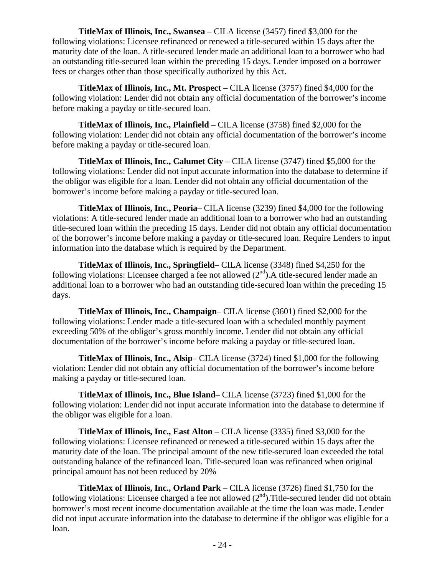**TitleMax of Illinois, Inc., Swansea** – CILA license (3457) fined \$3,000 for the following violations: Licensee refinanced or renewed a title-secured within 15 days after the maturity date of the loan. A title-secured lender made an additional loan to a borrower who had an outstanding title-secured loan within the preceding 15 days. Lender imposed on a borrower fees or charges other than those specifically authorized by this Act.

**TitleMax of Illinois, Inc., Mt. Prospect** – CILA license (3757) fined \$4,000 for the following violation: Lender did not obtain any official documentation of the borrower's income before making a payday or title-secured loan.

**TitleMax of Illinois, Inc., Plainfield** – CILA license (3758) fined \$2,000 for the following violation: Lender did not obtain any official documentation of the borrower's income before making a payday or title-secured loan.

**TitleMax of Illinois, Inc., Calumet City** – CILA license (3747) fined \$5,000 for the following violations: Lender did not input accurate information into the database to determine if the obligor was eligible for a loan. Lender did not obtain any official documentation of the borrower's income before making a payday or title-secured loan.

**TitleMax of Illinois, Inc., Peoria**– CILA license (3239) fined \$4,000 for the following violations: A title-secured lender made an additional loan to a borrower who had an outstanding title-secured loan within the preceding 15 days. Lender did not obtain any official documentation of the borrower's income before making a payday or title-secured loan. Require Lenders to input information into the database which is required by the Department.

**TitleMax of Illinois, Inc., Springfield**– CILA license (3348) fined \$4,250 for the following violations: Licensee charged a fee not allowed  $(2<sup>nd</sup>)$ . A title-secured lender made an additional loan to a borrower who had an outstanding title-secured loan within the preceding 15 days.

**TitleMax of Illinois, Inc., Champaign**– CILA license (3601) fined \$2,000 for the following violations: Lender made a title-secured loan with a scheduled monthly payment exceeding 50% of the obligor's gross monthly income. Lender did not obtain any official documentation of the borrower's income before making a payday or title-secured loan.

**TitleMax of Illinois, Inc., Alsip**– CILA license (3724) fined \$1,000 for the following violation: Lender did not obtain any official documentation of the borrower's income before making a payday or title-secured loan.

**TitleMax of Illinois, Inc., Blue Island**– CILA license (3723) fined \$1,000 for the following violation: Lender did not input accurate information into the database to determine if the obligor was eligible for a loan.

**TitleMax of Illinois, Inc., East Alton** – CILA license (3335) fined \$3,000 for the following violations: Licensee refinanced or renewed a title-secured within 15 days after the maturity date of the loan. The principal amount of the new title-secured loan exceeded the total outstanding balance of the refinanced loan. Title-secured loan was refinanced when original principal amount has not been reduced by 20%

**TitleMax of Illinois, Inc., Orland Park** – CILA license (3726) fined \$1,750 for the following violations: Licensee charged a fee not allowed  $(2<sup>nd</sup>)$ . Title-secured lender did not obtain borrower's most recent income documentation available at the time the loan was made. Lender did not input accurate information into the database to determine if the obligor was eligible for a loan.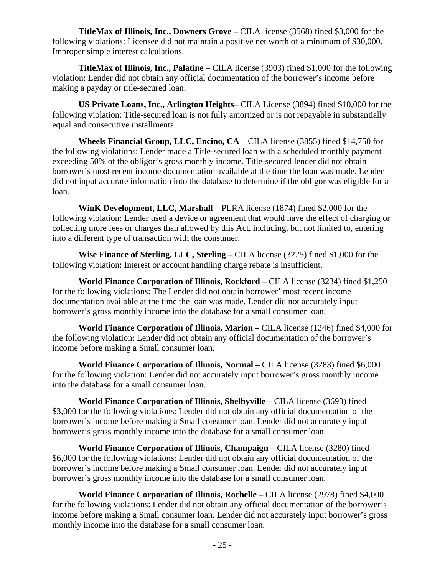**TitleMax of Illinois, Inc., Downers Grove** – CILA license (3568) fined \$3,000 for the following violations: Licensee did not maintain a positive net worth of a minimum of \$30,000. Improper simple interest calculations.

**TitleMax of Illinois, Inc., Palatine** – CILA license (3903) fined \$1,000 for the following violation: Lender did not obtain any official documentation of the borrower's income before making a payday or title-secured loan.

**US Private Loans, Inc., Arlington Heights**– CILA License (3894) fined \$10,000 for the following violation: Title-secured loan is not fully amortized or is not repayable in substantially equal and consecutive installments.

**Wheels Financial Group, LLC, Encino, CA** – CILA license (3855) fined \$14,750 for the following violations: Lender made a Title-secured loan with a scheduled monthly payment exceeding 50% of the obligor's gross monthly income. Title-secured lender did not obtain borrower's most recent income documentation available at the time the loan was made. Lender did not input accurate information into the database to determine if the obligor was eligible for a loan.

**WinK Development, LLC, Marshall** – PLRA license (1874) fined \$2,000 for the following violation: Lender used a device or agreement that would have the effect of charging or collecting more fees or charges than allowed by this Act, including, but not limited to, entering into a different type of transaction with the consumer.

**Wise Finance of Sterling, LLC, Sterling** – CILA license (3225) fined \$1,000 for the following violation: Interest or account handling charge rebate is insufficient.

**World Finance Corporation of Illinois, Rockford** – CILA license (3234) fined \$1,250 for the following violations: The Lender did not obtain borrower' most recent income documentation available at the time the loan was made. Lender did not accurately input borrower's gross monthly income into the database for a small consumer loan.

**World Finance Corporation of Illinois, Marion –** CILA license (1246) fined \$4,000 for the following violation: Lender did not obtain any official documentation of the borrower's income before making a Small consumer loan.

**World Finance Corporation of Illinois, Normal – CILA license (3283) fined \$6,000** for the following violation: Lender did not accurately input borrower's gross monthly income into the database for a small consumer loan.

**World Finance Corporation of Illinois, Shelbyville –** CILA license (3693) fined \$3,000 for the following violations: Lender did not obtain any official documentation of the borrower's income before making a Small consumer loan. Lender did not accurately input borrower's gross monthly income into the database for a small consumer loan.

**World Finance Corporation of Illinois, Champaign –** CILA license (3280) fined \$6,000 for the following violations: Lender did not obtain any official documentation of the borrower's income before making a Small consumer loan. Lender did not accurately input borrower's gross monthly income into the database for a small consumer loan.

**World Finance Corporation of Illinois, Rochelle –** CILA license (2978) fined \$4,000 for the following violations: Lender did not obtain any official documentation of the borrower's income before making a Small consumer loan. Lender did not accurately input borrower's gross monthly income into the database for a small consumer loan.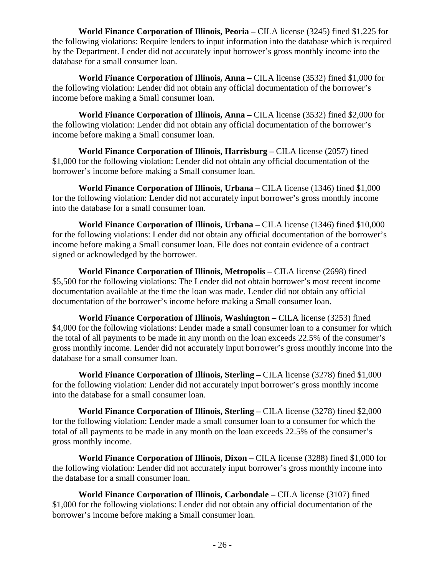**World Finance Corporation of Illinois, Peoria –** CILA license (3245) fined \$1,225 for the following violations: Require lenders to input information into the database which is required by the Department. Lender did not accurately input borrower's gross monthly income into the database for a small consumer loan.

**World Finance Corporation of Illinois, Anna –** CILA license (3532) fined \$1,000 for the following violation: Lender did not obtain any official documentation of the borrower's income before making a Small consumer loan.

**World Finance Corporation of Illinois, Anna –** CILA license (3532) fined \$2,000 for the following violation: Lender did not obtain any official documentation of the borrower's income before making a Small consumer loan.

**World Finance Corporation of Illinois, Harrisburg –** CILA license (2057) fined \$1,000 for the following violation: Lender did not obtain any official documentation of the borrower's income before making a Small consumer loan.

**World Finance Corporation of Illinois, Urbana –** CILA license (1346) fined \$1,000 for the following violation: Lender did not accurately input borrower's gross monthly income into the database for a small consumer loan.

**World Finance Corporation of Illinois, Urbana –** CILA license (1346) fined \$10,000 for the following violations: Lender did not obtain any official documentation of the borrower's income before making a Small consumer loan. File does not contain evidence of a contract signed or acknowledged by the borrower.

**World Finance Corporation of Illinois, Metropolis –** CILA license (2698) fined \$5,500 for the following violations: The Lender did not obtain borrower's most recent income documentation available at the time the loan was made. Lender did not obtain any official documentation of the borrower's income before making a Small consumer loan.

**World Finance Corporation of Illinois, Washington –** CILA license (3253) fined \$4,000 for the following violations: Lender made a small consumer loan to a consumer for which the total of all payments to be made in any month on the loan exceeds 22.5% of the consumer's gross monthly income. Lender did not accurately input borrower's gross monthly income into the database for a small consumer loan.

**World Finance Corporation of Illinois, Sterling –** CILA license (3278) fined \$1,000 for the following violation: Lender did not accurately input borrower's gross monthly income into the database for a small consumer loan.

**World Finance Corporation of Illinois, Sterling –** CILA license (3278) fined \$2,000 for the following violation: Lender made a small consumer loan to a consumer for which the total of all payments to be made in any month on the loan exceeds 22.5% of the consumer's gross monthly income.

**World Finance Corporation of Illinois, Dixon –** CILA license (3288) fined \$1,000 for the following violation: Lender did not accurately input borrower's gross monthly income into the database for a small consumer loan.

**World Finance Corporation of Illinois, Carbondale –** CILA license (3107) fined \$1,000 for the following violations: Lender did not obtain any official documentation of the borrower's income before making a Small consumer loan.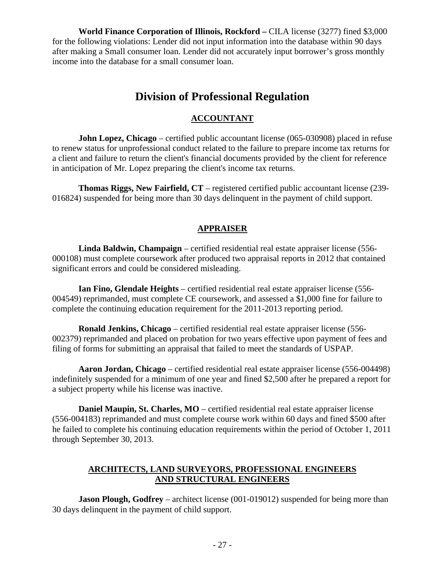**World Finance Corporation of Illinois, Rockford –** CILA license (3277) fined \$3,000 for the following violations: Lender did not input information into the database within 90 days after making a Small consumer loan. Lender did not accurately input borrower's gross monthly income into the database for a small consumer loan.

# **Division of Professional Regulation**

# **ACCOUNTANT**

**John Lopez, Chicago** – certified public accountant license (065-030908) placed in refuse to renew status for unprofessional conduct related to the failure to prepare income tax returns for a client and failure to return the client's financial documents provided by the client for reference in anticipation of Mr. Lopez preparing the client's income tax returns.

**Thomas Riggs, New Fairfield, CT** – registered certified public accountant license (239- 016824) suspended for being more than 30 days delinquent in the payment of child support.

# **APPRAISER**

**Linda Baldwin, Champaign** – certified residential real estate appraiser license (556- 000108) must complete coursework after produced two appraisal reports in 2012 that contained significant errors and could be considered misleading.

**Ian Fino, Glendale Heights** – certified residential real estate appraiser license (556- 004549) reprimanded, must complete CE coursework, and assessed a \$1,000 fine for failure to complete the continuing education requirement for the 2011-2013 reporting period.

**Ronald Jenkins, Chicago** – certified residential real estate appraiser license (556- 002379) reprimanded and placed on probation for two years effective upon payment of fees and filing of forms for submitting an appraisal that failed to meet the standards of USPAP.

**Aaron Jordan, Chicago** – certified residential real estate appraiser license (556-004498) indefinitely suspended for a minimum of one year and fined \$2,500 after he prepared a report for a subject property while his license was inactive.

**Daniel Maupin, St. Charles, MO** – certified residential real estate appraiser license (556-004183) reprimanded and must complete course work within 60 days and fined \$500 after he failed to complete his continuing education requirements within the period of October 1, 2011 through September 30, 2013.

# **ARCHITECTS, LAND SURVEYORS, PROFESSIONAL ENGINEERS AND STRUCTURAL ENGINEERS**

**Jason Plough, Godfrey** – architect license (001-019012) suspended for being more than 30 days delinquent in the payment of child support.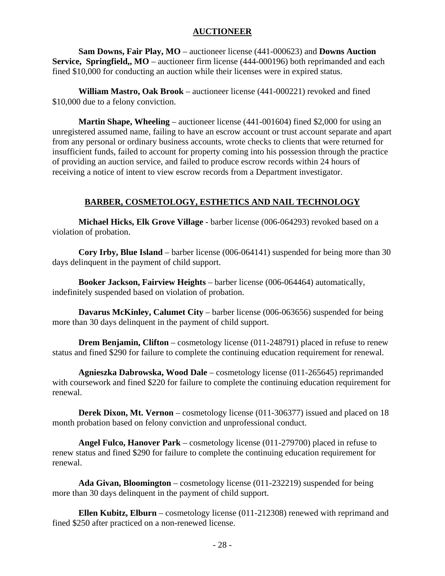# **AUCTIONEER**

**Sam Downs, Fair Play, MO** – auctioneer license (441-000623) and **Downs Auction Service, Springfield,, MO** – auctioneer firm license (444-000196) both reprimanded and each fined \$10,000 for conducting an auction while their licenses were in expired status.

**William Mastro, Oak Brook** – auctioneer license (441-000221) revoked and fined \$10,000 due to a felony conviction.

**Martin Shape, Wheeling** – auctioneer license (441-001604) fined \$2,000 for using an unregistered assumed name, failing to have an escrow account or trust account separate and apart from any personal or ordinary business accounts, wrote checks to clients that were returned for insufficient funds, failed to account for property coming into his possession through the practice of providing an auction service, and failed to produce escrow records within 24 hours of receiving a notice of intent to view escrow records from a Department investigator.

# **BARBER, COSMETOLOGY, ESTHETICS AND NAIL TECHNOLOGY**

 **Michael Hicks, Elk Grove Village** - barber license (006-064293) revoked based on a violation of probation.

**Cory Irby, Blue Island** – barber license (006-064141) suspended for being more than 30 days delinquent in the payment of child support.

**Booker Jackson, Fairview Heights** – barber license (006-064464) automatically, indefinitely suspended based on violation of probation.

**Davarus McKinley, Calumet City** – barber license (006-063656) suspended for being more than 30 days delinquent in the payment of child support.

**Drem Benjamin, Clifton** – cosmetology license (011-248791) placed in refuse to renew status and fined \$290 for failure to complete the continuing education requirement for renewal.

**Agnieszka Dabrowska, Wood Dale** – cosmetology license (011-265645) reprimanded with coursework and fined \$220 for failure to complete the continuing education requirement for renewal.

**Derek Dixon, Mt. Vernon** – cosmetology license (011-306377) issued and placed on 18 month probation based on felony conviction and unprofessional conduct.

**Angel Fulco, Hanover Park** – cosmetology license (011-279700) placed in refuse to renew status and fined \$290 for failure to complete the continuing education requirement for renewal.

**Ada Givan, Bloomington** – cosmetology license (011-232219) suspended for being more than 30 days delinquent in the payment of child support.

**Ellen Kubitz, Elburn** – cosmetology license (011-212308) renewed with reprimand and fined \$250 after practiced on a non-renewed license.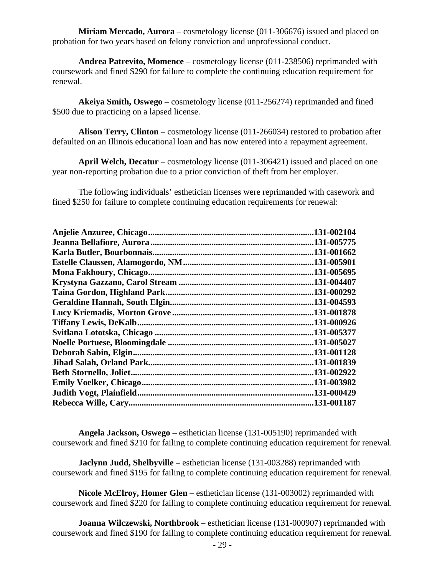**Miriam Mercado, Aurora** – cosmetology license (011-306676) issued and placed on probation for two years based on felony conviction and unprofessional conduct.

**Andrea Patrevito, Momence** – cosmetology license (011-238506) reprimanded with coursework and fined \$290 for failure to complete the continuing education requirement for renewal.

**Akeiya Smith, Oswego** – cosmetology license (011-256274) reprimanded and fined \$500 due to practicing on a lapsed license.

**Alison Terry, Clinton** – cosmetology license (011-266034) restored to probation after defaulted on an Illinois educational loan and has now entered into a repayment agreement.

**April Welch, Decatur** – cosmetology license (011-306421) issued and placed on one year non-reporting probation due to a prior conviction of theft from her employer.

The following individuals' esthetician licenses were reprimanded with casework and fined \$250 for failure to complete continuing education requirements for renewal:

|                           | 131-002104  |
|---------------------------|-------------|
|                           | .131-005775 |
| Karla Butler, Bourbonnais | .131-001662 |
|                           | .131-005901 |
|                           | .131-005695 |
|                           | .131-004407 |
|                           | .131-000292 |
|                           | .131-004593 |
|                           | 131-001878  |
|                           | .131-000926 |
|                           | .131-005377 |
|                           | .131-005027 |
| Deborah Sabin, Elgin.     | .131-001128 |
|                           | .131-001839 |
| Beth Stornello, Joliet    | .131-002922 |
|                           | .131-003982 |
|                           | .131-000429 |
|                           | 131-001187  |
|                           |             |

**Angela Jackson, Oswego** – esthetician license (131-005190) reprimanded with coursework and fined \$210 for failing to complete continuing education requirement for renewal.

**Jaclynn Judd, Shelbyville** – esthetician license (131-003288) reprimanded with coursework and fined \$195 for failing to complete continuing education requirement for renewal.

**Nicole McElroy, Homer Glen** – esthetician license (131-003002) reprimanded with coursework and fined \$220 for failing to complete continuing education requirement for renewal.

**Joanna Wilczewski, Northbrook** – esthetician license (131-000907) reprimanded with coursework and fined \$190 for failing to complete continuing education requirement for renewal.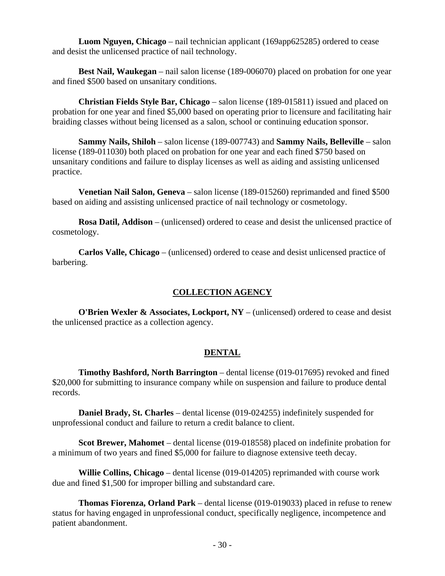**Luom Nguyen, Chicago** – nail technician applicant (169app625285) ordered to cease and desist the unlicensed practice of nail technology.

**Best Nail, Waukegan** – nail salon license (189-006070) placed on probation for one year and fined \$500 based on unsanitary conditions.

**Christian Fields Style Bar, Chicago** – salon license (189-015811) issued and placed on probation for one year and fined \$5,000 based on operating prior to licensure and facilitating hair braiding classes without being licensed as a salon, school or continuing education sponsor.

**Sammy Nails, Shiloh** – salon license (189-007743) and **Sammy Nails, Belleville** – salon license (189-011030) both placed on probation for one year and each fined \$750 based on unsanitary conditions and failure to display licenses as well as aiding and assisting unlicensed practice.

**Venetian Nail Salon, Geneva** – salon license (189-015260) reprimanded and fined \$500 based on aiding and assisting unlicensed practice of nail technology or cosmetology.

**Rosa Datil, Addison** – (unlicensed) ordered to cease and desist the unlicensed practice of cosmetology.

**Carlos Valle, Chicago** – (unlicensed) ordered to cease and desist unlicensed practice of barbering.

# **COLLECTION AGENCY**

**O'Brien Wexler & Associates, Lockport, NY** – (unlicensed) ordered to cease and desist the unlicensed practice as a collection agency.

# **DENTAL**

**Timothy Bashford, North Barrington** – dental license (019-017695) revoked and fined \$20,000 for submitting to insurance company while on suspension and failure to produce dental records.

**Daniel Brady, St. Charles** – dental license (019-024255) indefinitely suspended for unprofessional conduct and failure to return a credit balance to client.

**Scot Brewer, Mahomet** – dental license (019-018558) placed on indefinite probation for a minimum of two years and fined \$5,000 for failure to diagnose extensive teeth decay.

**Willie Collins, Chicago** – dental license (019-014205) reprimanded with course work due and fined \$1,500 for improper billing and substandard care.

**Thomas Fiorenza, Orland Park** – dental license (019-019033) placed in refuse to renew status for having engaged in unprofessional conduct, specifically negligence, incompetence and patient abandonment.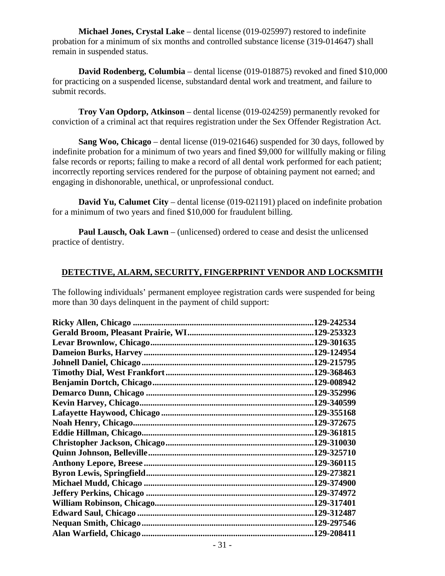**Michael Jones, Crystal Lake** – dental license (019-025997) restored to indefinite probation for a minimum of six months and controlled substance license (319-014647) shall remain in suspended status.

**David Rodenberg, Columbia** – dental license (019-018875) revoked and fined \$10,000 for practicing on a suspended license, substandard dental work and treatment, and failure to submit records.

**Troy Van Opdorp, Atkinson** – dental license (019-024259) permanently revoked for conviction of a criminal act that requires registration under the Sex Offender Registration Act.

**Sang Woo, Chicago** – dental license (019-021646) suspended for 30 days, followed by indefinite probation for a minimum of two years and fined \$9,000 for willfully making or filing false records or reports; failing to make a record of all dental work performed for each patient; incorrectly reporting services rendered for the purpose of obtaining payment not earned; and engaging in dishonorable, unethical, or unprofessional conduct.

**David Yu, Calumet City** – dental license (019-021191) placed on indefinite probation for a minimum of two years and fined \$10,000 for fraudulent billing.

**Paul Lausch, Oak Lawn** – (unlicensed) ordered to cease and desist the unlicensed practice of dentistry.

# **DETECTIVE, ALARM, SECURITY, FINGERPRINT VENDOR AND LOCKSMITH**

The following individuals' permanent employee registration cards were suspended for being more than 30 days delinquent in the payment of child support:

| 129-242534  |
|-------------|
| .129-253323 |
| .129-301635 |
|             |
| .129-215795 |
| .129-368463 |
| .129-008942 |
| .129-352996 |
| .129-340599 |
|             |
| .129-372675 |
| .129-361815 |
|             |
| .129-325710 |
| .129-360115 |
| .129-273821 |
| .129-374900 |
|             |
|             |
| .129-312487 |
| .129-297546 |
| .129-208411 |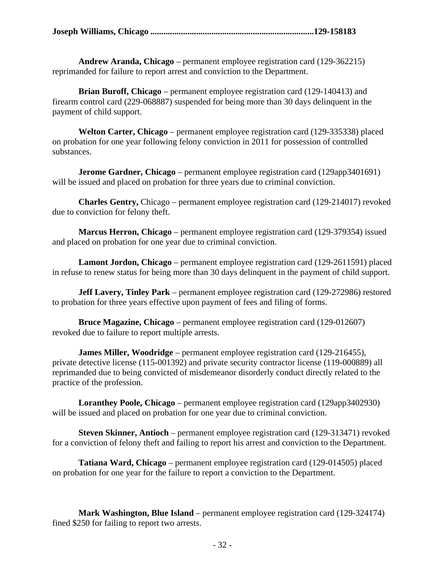|--|--|--|--|

**Andrew Aranda, Chicago** – permanent employee registration card (129-362215) reprimanded for failure to report arrest and conviction to the Department.

**Brian Buroff, Chicago** – permanent employee registration card (129-140413) and firearm control card (229-068887) suspended for being more than 30 days delinquent in the payment of child support.

**Welton Carter, Chicago** – permanent employee registration card (129-335338) placed on probation for one year following felony conviction in 2011 for possession of controlled substances.

**Jerome Gardner, Chicago** – permanent employee registration card (129app3401691) will be issued and placed on probation for three years due to criminal conviction.

**Charles Gentry,** Chicago – permanent employee registration card (129-214017) revoked due to conviction for felony theft.

**Marcus Herron, Chicago** – permanent employee registration card (129-379354) issued and placed on probation for one year due to criminal conviction.

**Lamont Jordon, Chicago** – permanent employee registration card (129-2611591) placed in refuse to renew status for being more than 30 days delinquent in the payment of child support.

**Jeff Lavery, Tinley Park** – permanent employee registration card (129-272986) restored to probation for three years effective upon payment of fees and filing of forms.

**Bruce Magazine, Chicago** – permanent employee registration card (129-012607) revoked due to failure to report multiple arrests.

**James Miller, Woodridge** – permanent employee registration card (129-216455), private detective license (115-001392) and private security contractor license (119-000889) all reprimanded due to being convicted of misdemeanor disorderly conduct directly related to the practice of the profession.

**Loranthey Poole, Chicago** – permanent employee registration card (129app3402930) will be issued and placed on probation for one year due to criminal conviction.

**Steven Skinner, Antioch** – permanent employee registration card (129-313471) revoked for a conviction of felony theft and failing to report his arrest and conviction to the Department.

**Tatiana Ward, Chicago** – permanent employee registration card (129-014505) placed on probation for one year for the failure to report a conviction to the Department.

**Mark Washington, Blue Island** – permanent employee registration card (129-324174) fined \$250 for failing to report two arrests.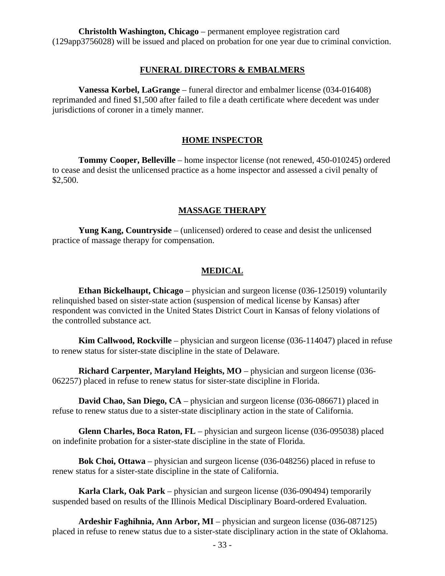**Christolth Washington, Chicago** – permanent employee registration card (129app3756028) will be issued and placed on probation for one year due to criminal conviction.

#### **FUNERAL DIRECTORS & EMBALMERS**

**Vanessa Korbel, LaGrange** – funeral director and embalmer license (034-016408) reprimanded and fined \$1,500 after failed to file a death certificate where decedent was under jurisdictions of coroner in a timely manner.

#### **HOME INSPECTOR**

**Tommy Cooper, Belleville** – home inspector license (not renewed, 450-010245) ordered to cease and desist the unlicensed practice as a home inspector and assessed a civil penalty of \$2,500.

#### **MASSAGE THERAPY**

**Yung Kang, Countryside** – (unlicensed) ordered to cease and desist the unlicensed practice of massage therapy for compensation.

#### **MEDICAL**

**Ethan Bickelhaupt, Chicago** – physician and surgeon license (036-125019) voluntarily relinquished based on sister-state action (suspension of medical license by Kansas) after respondent was convicted in the United States District Court in Kansas of felony violations of the controlled substance act.

**Kim Callwood, Rockville** – physician and surgeon license (036-114047) placed in refuse to renew status for sister-state discipline in the state of Delaware.

**Richard Carpenter, Maryland Heights, MO** – physician and surgeon license (036- 062257) placed in refuse to renew status for sister-state discipline in Florida.

**David Chao, San Diego, CA** – physician and surgeon license (036-086671) placed in refuse to renew status due to a sister-state disciplinary action in the state of California.

**Glenn Charles, Boca Raton, FL** – physician and surgeon license (036-095038) placed on indefinite probation for a sister-state discipline in the state of Florida.

**Bok Choi, Ottawa** – physician and surgeon license (036-048256) placed in refuse to renew status for a sister-state discipline in the state of California.

**Karla Clark, Oak Park** – physician and surgeon license (036-090494) temporarily suspended based on results of the Illinois Medical Disciplinary Board-ordered Evaluation.

**Ardeshir Faghihnia, Ann Arbor, MI** – physician and surgeon license (036-087125) placed in refuse to renew status due to a sister-state disciplinary action in the state of Oklahoma.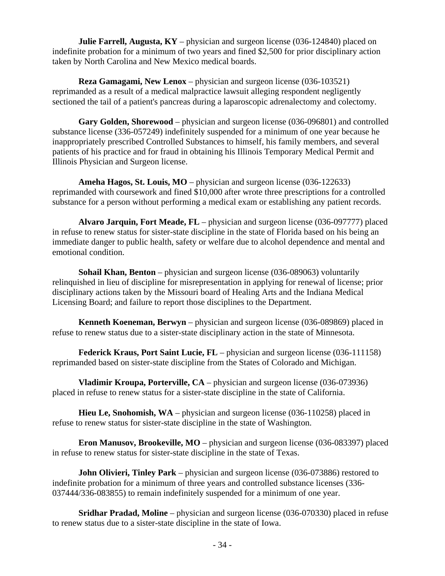**Julie Farrell, Augusta, KY** – physician and surgeon license (036-124840) placed on indefinite probation for a minimum of two years and fined \$2,500 for prior disciplinary action taken by North Carolina and New Mexico medical boards.

**Reza Gamagami, New Lenox** – physician and surgeon license (036-103521) reprimanded as a result of a medical malpractice lawsuit alleging respondent negligently sectioned the tail of a patient's pancreas during a laparoscopic adrenalectomy and colectomy.

**Gary Golden, Shorewood** – physician and surgeon license (036-096801) and controlled substance license (336-057249) indefinitely suspended for a minimum of one year because he inappropriately prescribed Controlled Substances to himself, his family members, and several patients of his practice and for fraud in obtaining his Illinois Temporary Medical Permit and Illinois Physician and Surgeon license.

**Ameha Hagos, St. Louis, MO** – physician and surgeon license (036-122633) reprimanded with coursework and fined \$10,000 after wrote three prescriptions for a controlled substance for a person without performing a medical exam or establishing any patient records.

**Alvaro Jarquin, Fort Meade, FL** – physician and surgeon license (036-097777) placed in refuse to renew status for sister-state discipline in the state of Florida based on his being an immediate danger to public health, safety or welfare due to alcohol dependence and mental and emotional condition.

**Sohail Khan, Benton** – physician and surgeon license (036-089063) voluntarily relinquished in lieu of discipline for misrepresentation in applying for renewal of license; prior disciplinary actions taken by the Missouri board of Healing Arts and the Indiana Medical Licensing Board; and failure to report those disciplines to the Department.

**Kenneth Koeneman, Berwyn** – physician and surgeon license (036-089869) placed in refuse to renew status due to a sister-state disciplinary action in the state of Minnesota.

**Federick Kraus, Port Saint Lucie, FL** – physician and surgeon license (036-111158) reprimanded based on sister-state discipline from the States of Colorado and Michigan.

**Vladimir Kroupa, Porterville, CA** – physician and surgeon license (036-073936) placed in refuse to renew status for a sister-state discipline in the state of California.

**Hieu Le, Snohomish, WA** – physician and surgeon license (036-110258) placed in refuse to renew status for sister-state discipline in the state of Washington.

**Eron Manusov, Brookeville, MO** – physician and surgeon license (036-083397) placed in refuse to renew status for sister-state discipline in the state of Texas.

**John Olivieri, Tinley Park** – physician and surgeon license (036-073886) restored to indefinite probation for a minimum of three years and controlled substance licenses (336- 037444/336-083855) to remain indefinitely suspended for a minimum of one year.

**Sridhar Pradad, Moline** – physician and surgeon license (036-070330) placed in refuse to renew status due to a sister-state discipline in the state of Iowa.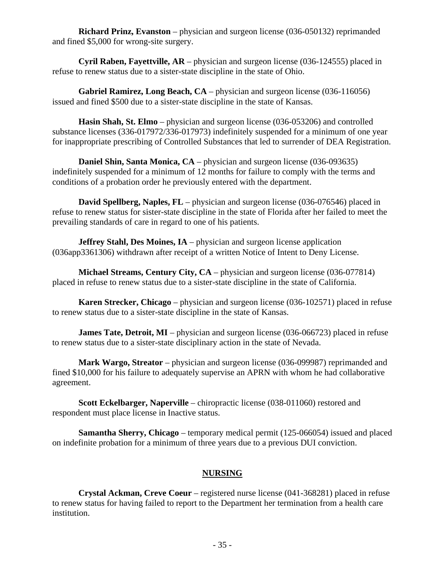**Richard Prinz, Evanston** – physician and surgeon license (036-050132) reprimanded and fined \$5,000 for wrong-site surgery.

**Cyril Raben, Fayettville, AR** – physician and surgeon license (036-124555) placed in refuse to renew status due to a sister-state discipline in the state of Ohio.

**Gabriel Ramirez, Long Beach, CA** – physician and surgeon license (036-116056) issued and fined \$500 due to a sister-state discipline in the state of Kansas.

**Hasin Shah, St. Elmo** – physician and surgeon license (036-053206) and controlled substance licenses (336-017972/336-017973) indefinitely suspended for a minimum of one year for inappropriate prescribing of Controlled Substances that led to surrender of DEA Registration.

**Daniel Shin, Santa Monica, CA** – physician and surgeon license (036-093635) indefinitely suspended for a minimum of 12 months for failure to comply with the terms and conditions of a probation order he previously entered with the department.

**David Spellberg, Naples, FL** – physician and surgeon license (036-076546) placed in refuse to renew status for sister-state discipline in the state of Florida after her failed to meet the prevailing standards of care in regard to one of his patients.

**Jeffrey Stahl, Des Moines, IA** – physician and surgeon license application (036app3361306) withdrawn after receipt of a written Notice of Intent to Deny License.

**Michael Streams, Century City, CA** – physician and surgeon license (036-077814) placed in refuse to renew status due to a sister-state discipline in the state of California.

**Karen Strecker, Chicago** – physician and surgeon license (036-102571) placed in refuse to renew status due to a sister-state discipline in the state of Kansas.

**James Tate, Detroit, MI** – physician and surgeon license (036-066723) placed in refuse to renew status due to a sister-state disciplinary action in the state of Nevada.

**Mark Wargo, Streator** – physician and surgeon license (036-099987) reprimanded and fined \$10,000 for his failure to adequately supervise an APRN with whom he had collaborative agreement.

**Scott Eckelbarger, Naperville** – chiropractic license (038-011060) restored and respondent must place license in Inactive status.

**Samantha Sherry, Chicago** – temporary medical permit (125-066054) issued and placed on indefinite probation for a minimum of three years due to a previous DUI conviction.

# **NURSING**

**Crystal Ackman, Creve Coeur** – registered nurse license (041-368281) placed in refuse to renew status for having failed to report to the Department her termination from a health care institution.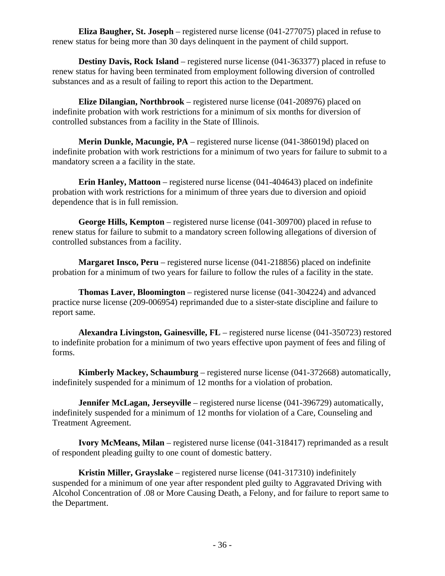**Eliza Baugher, St. Joseph** – registered nurse license (041-277075) placed in refuse to renew status for being more than 30 days delinquent in the payment of child support.

**Destiny Davis, Rock Island** – registered nurse license (041-363377) placed in refuse to renew status for having been terminated from employment following diversion of controlled substances and as a result of failing to report this action to the Department.

**Elize Dilangian, Northbrook** – registered nurse license (041-208976) placed on indefinite probation with work restrictions for a minimum of six months for diversion of controlled substances from a facility in the State of Illinois.

**Merin Dunkle, Macungie, PA** – registered nurse license (041-386019d) placed on indefinite probation with work restrictions for a minimum of two years for failure to submit to a mandatory screen a a facility in the state.

**Erin Hanley, Mattoon** – registered nurse license (041-404643) placed on indefinite probation with work restrictions for a minimum of three years due to diversion and opioid dependence that is in full remission.

**George Hills, Kempton** – registered nurse license (041-309700) placed in refuse to renew status for failure to submit to a mandatory screen following allegations of diversion of controlled substances from a facility.

**Margaret Insco, Peru** – registered nurse license (041-218856) placed on indefinite probation for a minimum of two years for failure to follow the rules of a facility in the state.

**Thomas Laver, Bloomington** – registered nurse license (041-304224) and advanced practice nurse license (209-006954) reprimanded due to a sister-state discipline and failure to report same.

**Alexandra Livingston, Gainesville, FL** – registered nurse license (041-350723) restored to indefinite probation for a minimum of two years effective upon payment of fees and filing of forms.

**Kimberly Mackey, Schaumburg** – registered nurse license (041-372668) automatically, indefinitely suspended for a minimum of 12 months for a violation of probation.

**Jennifer McLagan, Jerseyville** – registered nurse license (041-396729) automatically, indefinitely suspended for a minimum of 12 months for violation of a Care, Counseling and Treatment Agreement.

**Ivory McMeans, Milan** – registered nurse license (041-318417) reprimanded as a result of respondent pleading guilty to one count of domestic battery.

**Kristin Miller, Grayslake** – registered nurse license (041-317310) indefinitely suspended for a minimum of one year after respondent pled guilty to Aggravated Driving with Alcohol Concentration of .08 or More Causing Death, a Felony, and for failure to report same to the Department.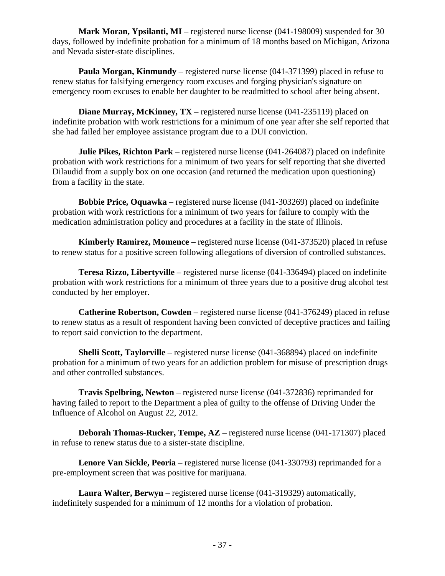**Mark Moran, Ypsilanti, MI** – registered nurse license (041-198009) suspended for 30 days, followed by indefinite probation for a minimum of 18 months based on Michigan, Arizona and Nevada sister-state disciplines.

**Paula Morgan, Kinmundy** – registered nurse license (041-371399) placed in refuse to renew status for falsifying emergency room excuses and forging physician's signature on emergency room excuses to enable her daughter to be readmitted to school after being absent.

**Diane Murray, McKinney, TX** – registered nurse license (041-235119) placed on indefinite probation with work restrictions for a minimum of one year after she self reported that she had failed her employee assistance program due to a DUI conviction.

**Julie Pikes, Richton Park** – registered nurse license (041-264087) placed on indefinite probation with work restrictions for a minimum of two years for self reporting that she diverted Dilaudid from a supply box on one occasion (and returned the medication upon questioning) from a facility in the state.

**Bobbie Price, Oquawka** – registered nurse license (041-303269) placed on indefinite probation with work restrictions for a minimum of two years for failure to comply with the medication administration policy and procedures at a facility in the state of Illinois.

**Kimberly Ramirez, Momence** – registered nurse license (041-373520) placed in refuse to renew status for a positive screen following allegations of diversion of controlled substances.

**Teresa Rizzo, Libertyville** – registered nurse license (041-336494) placed on indefinite probation with work restrictions for a minimum of three years due to a positive drug alcohol test conducted by her employer.

**Catherine Robertson, Cowden** – registered nurse license (041-376249) placed in refuse to renew status as a result of respondent having been convicted of deceptive practices and failing to report said conviction to the department.

**Shelli Scott, Taylorville** – registered nurse license (041-368894) placed on indefinite probation for a minimum of two years for an addiction problem for misuse of prescription drugs and other controlled substances.

**Travis Spelbring, Newton** – registered nurse license (041-372836) reprimanded for having failed to report to the Department a plea of guilty to the offense of Driving Under the Influence of Alcohol on August 22, 2012.

**Deborah Thomas-Rucker, Tempe, AZ** – registered nurse license (041-171307) placed in refuse to renew status due to a sister-state discipline.

**Lenore Van Sickle, Peoria** – registered nurse license (041-330793) reprimanded for a pre-employment screen that was positive for marijuana.

**Laura Walter, Berwyn** – registered nurse license (041-319329) automatically, indefinitely suspended for a minimum of 12 months for a violation of probation.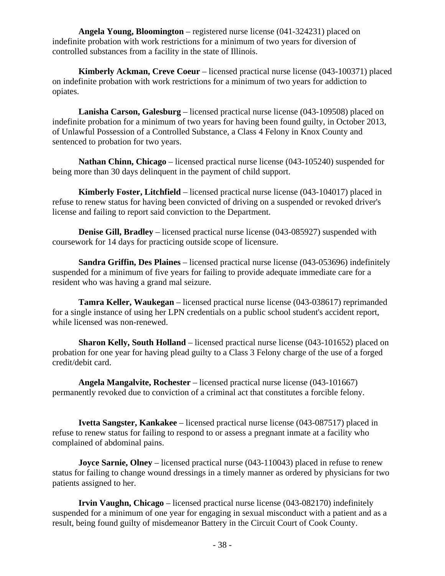**Angela Young, Bloomington** – registered nurse license (041-324231) placed on indefinite probation with work restrictions for a minimum of two years for diversion of controlled substances from a facility in the state of Illinois.

**Kimberly Ackman, Creve Coeur** – licensed practical nurse license (043-100371) placed on indefinite probation with work restrictions for a minimum of two years for addiction to opiates.

**Lanisha Carson, Galesburg** – licensed practical nurse license (043-109508) placed on indefinite probation for a minimum of two years for having been found guilty, in October 2013, of Unlawful Possession of a Controlled Substance, a Class 4 Felony in Knox County and sentenced to probation for two years.

**Nathan Chinn, Chicago** – licensed practical nurse license (043-105240) suspended for being more than 30 days delinquent in the payment of child support.

**Kimberly Foster, Litchfield** – licensed practical nurse license (043-104017) placed in refuse to renew status for having been convicted of driving on a suspended or revoked driver's license and failing to report said conviction to the Department.

**Denise Gill, Bradley** – licensed practical nurse license (043-085927) suspended with coursework for 14 days for practicing outside scope of licensure.

**Sandra Griffin, Des Plaines** – licensed practical nurse license (043-053696) indefinitely suspended for a minimum of five years for failing to provide adequate immediate care for a resident who was having a grand mal seizure.

**Tamra Keller, Waukegan** – licensed practical nurse license (043-038617) reprimanded for a single instance of using her LPN credentials on a public school student's accident report, while licensed was non-renewed.

**Sharon Kelly, South Holland** – licensed practical nurse license (043-101652) placed on probation for one year for having plead guilty to a Class 3 Felony charge of the use of a forged credit/debit card.

**Angela Mangalvite, Rochester** – licensed practical nurse license (043-101667) permanently revoked due to conviction of a criminal act that constitutes a forcible felony.

**Ivetta Sangster, Kankakee** – licensed practical nurse license (043-087517) placed in refuse to renew status for failing to respond to or assess a pregnant inmate at a facility who complained of abdominal pains.

**Joyce Sarnie, Olney** – licensed practical nurse (043-110043) placed in refuse to renew status for failing to change wound dressings in a timely manner as ordered by physicians for two patients assigned to her.

**Irvin Vaughn, Chicago** – licensed practical nurse license (043-082170) indefinitely suspended for a minimum of one year for engaging in sexual misconduct with a patient and as a result, being found guilty of misdemeanor Battery in the Circuit Court of Cook County.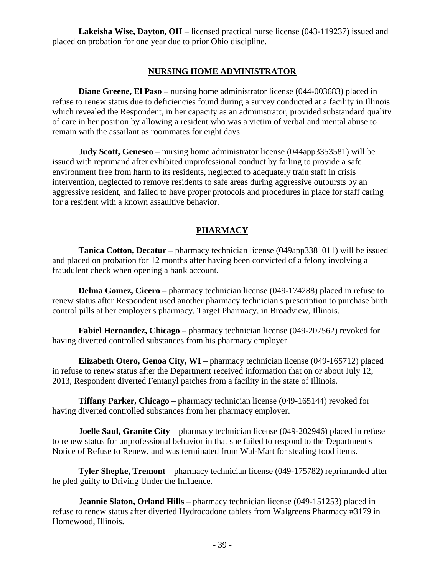**Lakeisha Wise, Dayton, OH** – licensed practical nurse license (043-119237) issued and placed on probation for one year due to prior Ohio discipline.

### **NURSING HOME ADMINISTRATOR**

**Diane Greene, El Paso** – nursing home administrator license (044-003683) placed in refuse to renew status due to deficiencies found during a survey conducted at a facility in Illinois which revealed the Respondent, in her capacity as an administrator, provided substandard quality of care in her position by allowing a resident who was a victim of verbal and mental abuse to remain with the assailant as roommates for eight days.

**Judy Scott, Geneseo** – nursing home administrator license (044app3353581) will be issued with reprimand after exhibited unprofessional conduct by failing to provide a safe environment free from harm to its residents, neglected to adequately train staff in crisis intervention, neglected to remove residents to safe areas during aggressive outbursts by an aggressive resident, and failed to have proper protocols and procedures in place for staff caring for a resident with a known assaultive behavior.

### **PHARMACY**

**Tanica Cotton, Decatur** – pharmacy technician license (049app3381011) will be issued and placed on probation for 12 months after having been convicted of a felony involving a fraudulent check when opening a bank account.

**Delma Gomez, Cicero** – pharmacy technician license (049-174288) placed in refuse to renew status after Respondent used another pharmacy technician's prescription to purchase birth control pills at her employer's pharmacy, Target Pharmacy, in Broadview, Illinois.

**Fabiel Hernandez, Chicago** – pharmacy technician license (049-207562) revoked for having diverted controlled substances from his pharmacy employer.

**Elizabeth Otero, Genoa City, WI** – pharmacy technician license (049-165712) placed in refuse to renew status after the Department received information that on or about July 12, 2013, Respondent diverted Fentanyl patches from a facility in the state of Illinois.

**Tiffany Parker, Chicago** – pharmacy technician license (049-165144) revoked for having diverted controlled substances from her pharmacy employer.

**Joelle Saul, Granite City** – pharmacy technician license (049-202946) placed in refuse to renew status for unprofessional behavior in that she failed to respond to the Department's Notice of Refuse to Renew, and was terminated from Wal-Mart for stealing food items.

**Tyler Shepke, Tremont** – pharmacy technician license (049-175782) reprimanded after he pled guilty to Driving Under the Influence.

**Jeannie Slaton, Orland Hills** – pharmacy technician license (049-151253) placed in refuse to renew status after diverted Hydrocodone tablets from Walgreens Pharmacy #3179 in Homewood, Illinois.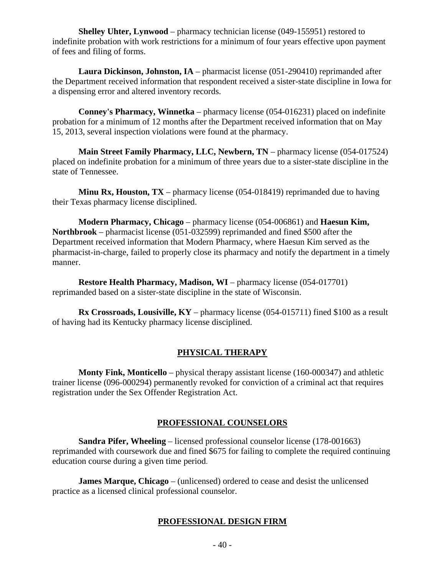**Shelley Uhter, Lynwood** – pharmacy technician license (049-155951) restored to indefinite probation with work restrictions for a minimum of four years effective upon payment of fees and filing of forms.

**Laura Dickinson, Johnston, IA** – pharmacist license (051-290410) reprimanded after the Department received information that respondent received a sister-state discipline in Iowa for a dispensing error and altered inventory records.

**Conney's Pharmacy, Winnetka** – pharmacy license (054-016231) placed on indefinite probation for a minimum of 12 months after the Department received information that on May 15, 2013, several inspection violations were found at the pharmacy.

**Main Street Family Pharmacy, LLC, Newbern, TN** – pharmacy license (054-017524) placed on indefinite probation for a minimum of three years due to a sister-state discipline in the state of Tennessee.

**Minu Rx, Houston, TX** – pharmacy license (054-018419) reprimanded due to having their Texas pharmacy license disciplined.

**Modern Pharmacy, Chicago** – pharmacy license (054-006861) and **Haesun Kim, Northbrook** – pharmacist license (051-032599) reprimanded and fined \$500 after the Department received information that Modern Pharmacy, where Haesun Kim served as the pharmacist-in-charge, failed to properly close its pharmacy and notify the department in a timely manner.

**Restore Health Pharmacy, Madison, WI** – pharmacy license (054-017701) reprimanded based on a sister-state discipline in the state of Wisconsin.

**Rx Crossroads, Lousiville, KY** – pharmacy license (054-015711) fined \$100 as a result of having had its Kentucky pharmacy license disciplined.

# **PHYSICAL THERAPY**

**Monty Fink, Monticello** – physical therapy assistant license (160-000347) and athletic trainer license (096-000294) permanently revoked for conviction of a criminal act that requires registration under the Sex Offender Registration Act.

# **PROFESSIONAL COUNSELORS**

**Sandra Pifer, Wheeling** – licensed professional counselor license (178-001663) reprimanded with coursework due and fined \$675 for failing to complete the required continuing education course during a given time period.

**James Marque, Chicago** – (unlicensed) ordered to cease and desist the unlicensed practice as a licensed clinical professional counselor.

# **PROFESSIONAL DESIGN FIRM**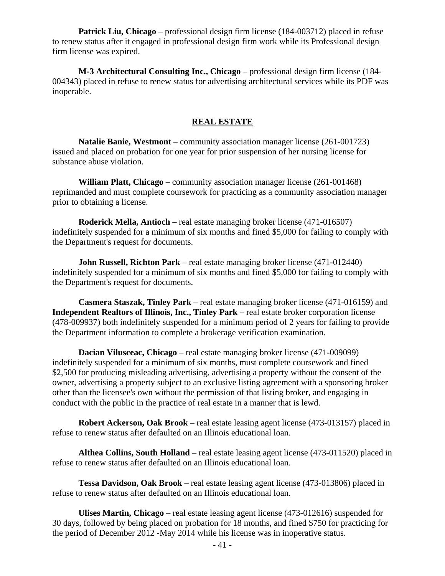**Patrick Liu, Chicago** – professional design firm license (184-003712) placed in refuse to renew status after it engaged in professional design firm work while its Professional design firm license was expired.

**M-3 Architectural Consulting Inc., Chicago** – professional design firm license (184- 004343) placed in refuse to renew status for advertising architectural services while its PDF was inoperable.

### **REAL ESTATE**

**Natalie Banie, Westmont** – community association manager license (261-001723) issued and placed on probation for one year for prior suspension of her nursing license for substance abuse violation.

**William Platt, Chicago** – community association manager license (261-001468) reprimanded and must complete coursework for practicing as a community association manager prior to obtaining a license.

**Roderick Mella, Antioch** – real estate managing broker license (471-016507) indefinitely suspended for a minimum of six months and fined \$5,000 for failing to comply with the Department's request for documents.

**John Russell, Richton Park** – real estate managing broker license (471-012440) indefinitely suspended for a minimum of six months and fined \$5,000 for failing to comply with the Department's request for documents.

**Casmera Staszak, Tinley Park** – real estate managing broker license (471-016159) and **Independent Realtors of Illinois, Inc., Tinley Park** – real estate broker corporation license (478-009937) both indefinitely suspended for a minimum period of 2 years for failing to provide the Department information to complete a brokerage verification examination.

**Dacian Vilusceac, Chicago** – real estate managing broker license (471-009099) indefinitely suspended for a minimum of six months, must complete coursework and fined \$2,500 for producing misleading advertising, advertising a property without the consent of the owner, advertising a property subject to an exclusive listing agreement with a sponsoring broker other than the licensee's own without the permission of that listing broker, and engaging in conduct with the public in the practice of real estate in a manner that is lewd.

**Robert Ackerson, Oak Brook** – real estate leasing agent license (473-013157) placed in refuse to renew status after defaulted on an Illinois educational loan.

**Althea Collins, South Holland** – real estate leasing agent license (473-011520) placed in refuse to renew status after defaulted on an Illinois educational loan.

**Tessa Davidson, Oak Brook** – real estate leasing agent license (473-013806) placed in refuse to renew status after defaulted on an Illinois educational loan.

**Ulises Martin, Chicago** – real estate leasing agent license (473-012616) suspended for 30 days, followed by being placed on probation for 18 months, and fined \$750 for practicing for the period of December 2012 -May 2014 while his license was in inoperative status.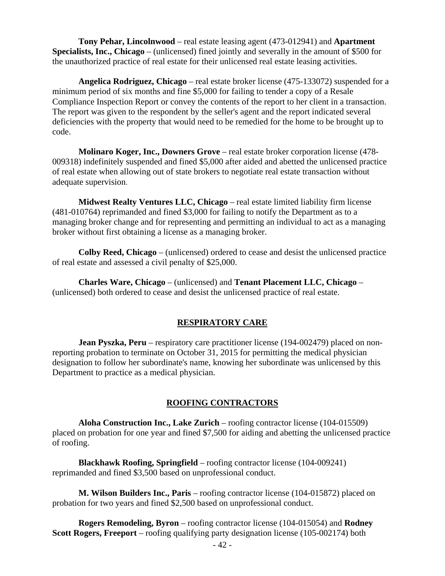**Tony Pehar, Lincolnwood** – real estate leasing agent (473-012941) and **Apartment Specialists, Inc., Chicago** – (unlicensed) fined jointly and severally in the amount of \$500 for the unauthorized practice of real estate for their unlicensed real estate leasing activities.

**Angelica Rodriguez, Chicago** – real estate broker license (475-133072) suspended for a minimum period of six months and fine \$5,000 for failing to tender a copy of a Resale Compliance Inspection Report or convey the contents of the report to her client in a transaction. The report was given to the respondent by the seller's agent and the report indicated several deficiencies with the property that would need to be remedied for the home to be brought up to code.

**Molinaro Koger, Inc., Downers Grove** – real estate broker corporation license (478- 009318) indefinitely suspended and fined \$5,000 after aided and abetted the unlicensed practice of real estate when allowing out of state brokers to negotiate real estate transaction without adequate supervision.

**Midwest Realty Ventures LLC, Chicago** – real estate limited liability firm license (481-010764) reprimanded and fined \$3,000 for failing to notify the Department as to a managing broker change and for representing and permitting an individual to act as a managing broker without first obtaining a license as a managing broker.

**Colby Reed, Chicago** – (unlicensed) ordered to cease and desist the unlicensed practice of real estate and assessed a civil penalty of \$25,000.

**Charles Ware, Chicago** – (unlicensed) and **Tenant Placement LLC, Chicago** – (unlicensed) both ordered to cease and desist the unlicensed practice of real estate.

# **RESPIRATORY CARE**

**Jean Pyszka, Peru** – respiratory care practitioner license (194-002479) placed on nonreporting probation to terminate on October 31, 2015 for permitting the medical physician designation to follow her subordinate's name, knowing her subordinate was unlicensed by this Department to practice as a medical physician.

# **ROOFING CONTRACTORS**

**Aloha Construction Inc., Lake Zurich** – roofing contractor license (104-015509) placed on probation for one year and fined \$7,500 for aiding and abetting the unlicensed practice of roofing.

**Blackhawk Roofing, Springfield** – roofing contractor license (104-009241) reprimanded and fined \$3,500 based on unprofessional conduct.

**M. Wilson Builders Inc., Paris** – roofing contractor license (104-015872) placed on probation for two years and fined \$2,500 based on unprofessional conduct.

**Rogers Remodeling, Byron** – roofing contractor license (104-015054) and **Rodney Scott Rogers, Freeport** – roofing qualifying party designation license (105-002174) both